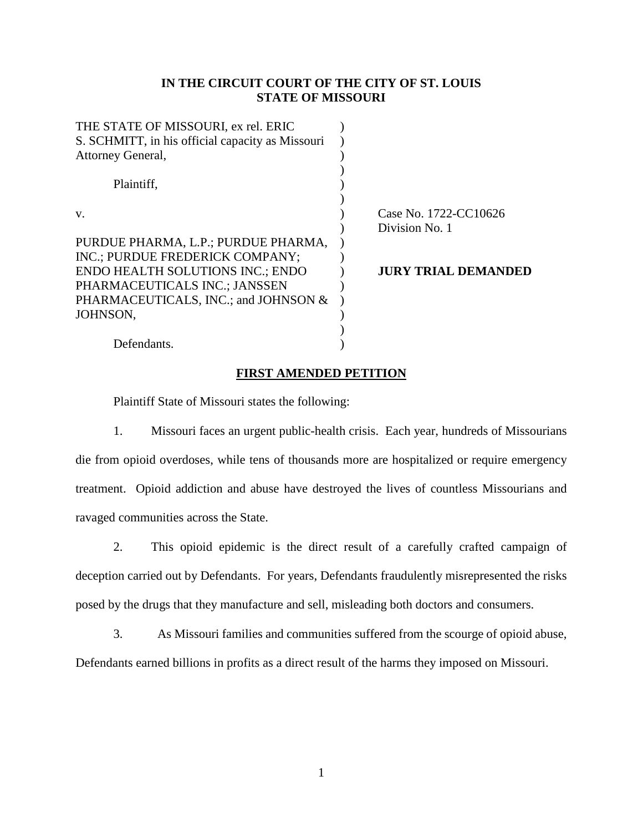## **IN THE CIRCUIT COURT OF THE CITY OF ST. LOUIS STATE OF MISSOURI**

| THE STATE OF MISSOURI, ex rel. ERIC              |                            |
|--------------------------------------------------|----------------------------|
| S. SCHMITT, in his official capacity as Missouri |                            |
| Attorney General,                                |                            |
|                                                  |                            |
| Plaintiff.                                       |                            |
|                                                  |                            |
| V.                                               | Case No. 1722-CC10626      |
|                                                  | Division No. 1             |
| PURDUE PHARMA, L.P.; PURDUE PHARMA,              |                            |
| INC.; PURDUE FREDERICK COMPANY;                  |                            |
| <b>ENDO HEALTH SOLUTIONS INC.; ENDO</b>          | <b>JURY TRIAL DEMANDED</b> |
| PHARMACEUTICALS INC.; JANSSEN                    |                            |
| PHARMACEUTICALS, INC.; and JOHNSON &             |                            |
| JOHNSON,                                         |                            |
|                                                  |                            |
| Defendants.                                      |                            |
|                                                  |                            |

#### **FIRST AMENDED PETITION**

Plaintiff State of Missouri states the following:

1. Missouri faces an urgent public-health crisis. Each year, hundreds of Missourians die from opioid overdoses, while tens of thousands more are hospitalized or require emergency treatment. Opioid addiction and abuse have destroyed the lives of countless Missourians and ravaged communities across the State.

2. This opioid epidemic is the direct result of a carefully crafted campaign of deception carried out by Defendants. For years, Defendants fraudulently misrepresented the risks posed by the drugs that they manufacture and sell, misleading both doctors and consumers.

3. As Missouri families and communities suffered from the scourge of opioid abuse, Defendants earned billions in profits as a direct result of the harms they imposed on Missouri.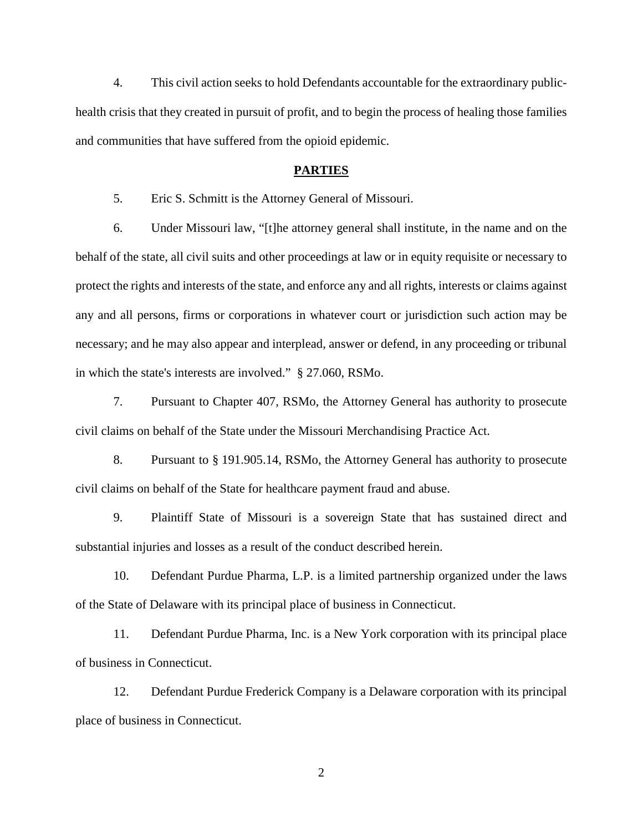4. This civil action seeks to hold Defendants accountable for the extraordinary publichealth crisis that they created in pursuit of profit, and to begin the process of healing those families and communities that have suffered from the opioid epidemic.

#### **PARTIES**

5. Eric S. Schmitt is the Attorney General of Missouri.

6. Under Missouri law, "[t]he attorney general shall institute, in the name and on the behalf of the state, all civil suits and other proceedings at law or in equity requisite or necessary to protect the rights and interests of the state, and enforce any and all rights, interests or claims against any and all persons, firms or corporations in whatever court or jurisdiction such action may be necessary; and he may also appear and interplead, answer or defend, in any proceeding or tribunal in which the state's interests are involved." § 27.060, RSMo.

7. Pursuant to Chapter 407, RSMo, the Attorney General has authority to prosecute civil claims on behalf of the State under the Missouri Merchandising Practice Act.

8. Pursuant to § 191.905.14, RSMo, the Attorney General has authority to prosecute civil claims on behalf of the State for healthcare payment fraud and abuse.

9. Plaintiff State of Missouri is a sovereign State that has sustained direct and substantial injuries and losses as a result of the conduct described herein.

10. Defendant Purdue Pharma, L.P. is a limited partnership organized under the laws of the State of Delaware with its principal place of business in Connecticut.

11. Defendant Purdue Pharma, Inc. is a New York corporation with its principal place of business in Connecticut.

12. Defendant Purdue Frederick Company is a Delaware corporation with its principal place of business in Connecticut.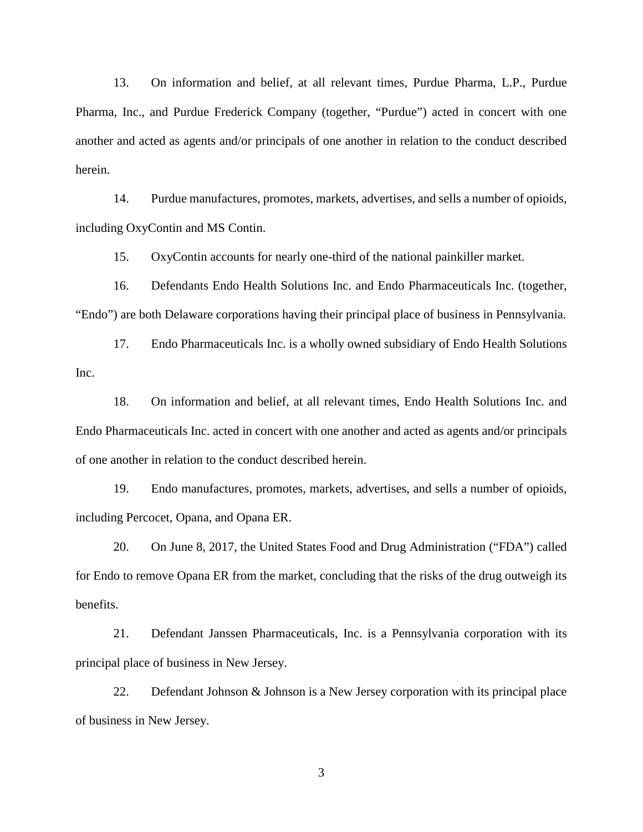13. On information and belief, at all relevant times, Purdue Pharma, L.P., Purdue Pharma, Inc., and Purdue Frederick Company (together, "Purdue") acted in concert with one another and acted as agents and/or principals of one another in relation to the conduct described herein.

14. Purdue manufactures, promotes, markets, advertises, and sells a number of opioids, including OxyContin and MS Contin.

15. OxyContin accounts for nearly one-third of the national painkiller market.

16. Defendants Endo Health Solutions Inc. and Endo Pharmaceuticals Inc. (together, "Endo") are both Delaware corporations having their principal place of business in Pennsylvania.

17. Endo Pharmaceuticals Inc. is a wholly owned subsidiary of Endo Health Solutions Inc.

18. On information and belief, at all relevant times, Endo Health Solutions Inc. and Endo Pharmaceuticals Inc. acted in concert with one another and acted as agents and/or principals of one another in relation to the conduct described herein.

19. Endo manufactures, promotes, markets, advertises, and sells a number of opioids, including Percocet, Opana, and Opana ER.

20. On June 8, 2017, the United States Food and Drug Administration ("FDA") called for Endo to remove Opana ER from the market, concluding that the risks of the drug outweigh its benefits.

21. Defendant Janssen Pharmaceuticals, Inc. is a Pennsylvania corporation with its principal place of business in New Jersey.

22. Defendant Johnson & Johnson is a New Jersey corporation with its principal place of business in New Jersey.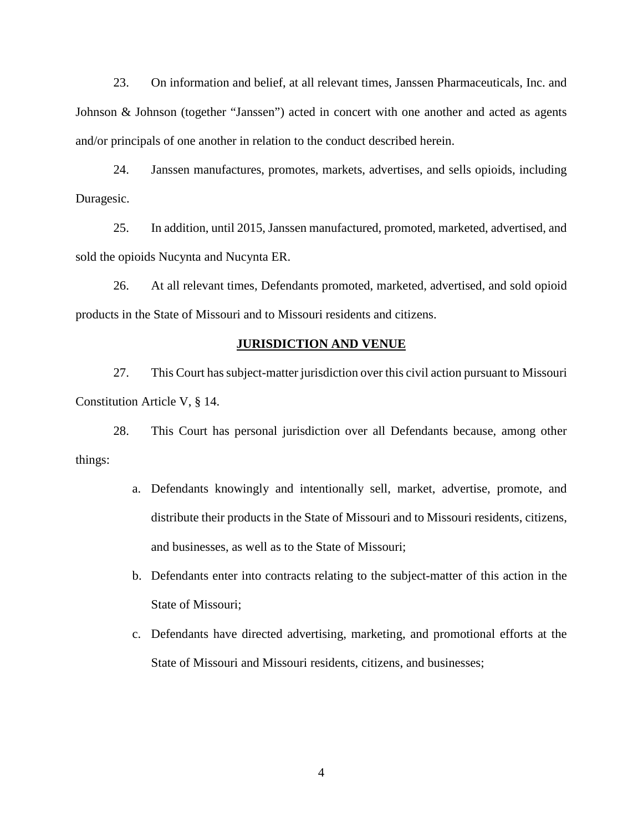23. On information and belief, at all relevant times, Janssen Pharmaceuticals, Inc. and Johnson & Johnson (together "Janssen") acted in concert with one another and acted as agents and/or principals of one another in relation to the conduct described herein.

24. Janssen manufactures, promotes, markets, advertises, and sells opioids, including Duragesic.

25. In addition, until 2015, Janssen manufactured, promoted, marketed, advertised, and sold the opioids Nucynta and Nucynta ER.

26. At all relevant times, Defendants promoted, marketed, advertised, and sold opioid products in the State of Missouri and to Missouri residents and citizens.

#### **JURISDICTION AND VENUE**

27. This Court has subject-matter jurisdiction over this civil action pursuant to Missouri Constitution Article V, § 14.

28. This Court has personal jurisdiction over all Defendants because, among other things:

- a. Defendants knowingly and intentionally sell, market, advertise, promote, and distribute their products in the State of Missouri and to Missouri residents, citizens, and businesses, as well as to the State of Missouri;
- b. Defendants enter into contracts relating to the subject-matter of this action in the State of Missouri;
- c. Defendants have directed advertising, marketing, and promotional efforts at the State of Missouri and Missouri residents, citizens, and businesses;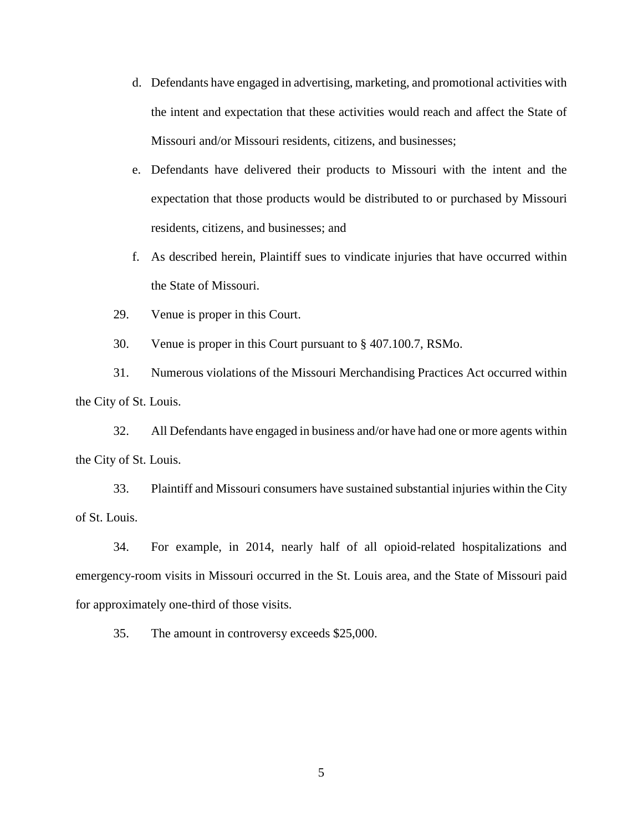- d. Defendants have engaged in advertising, marketing, and promotional activities with the intent and expectation that these activities would reach and affect the State of Missouri and/or Missouri residents, citizens, and businesses;
- e. Defendants have delivered their products to Missouri with the intent and the expectation that those products would be distributed to or purchased by Missouri residents, citizens, and businesses; and
- f. As described herein, Plaintiff sues to vindicate injuries that have occurred within the State of Missouri.
- 29. Venue is proper in this Court.
- 30. Venue is proper in this Court pursuant to § 407.100.7, RSMo.

31. Numerous violations of the Missouri Merchandising Practices Act occurred within the City of St. Louis.

32. All Defendants have engaged in business and/or have had one or more agents within the City of St. Louis.

33. Plaintiff and Missouri consumers have sustained substantial injuries within the City of St. Louis.

34. For example, in 2014, nearly half of all opioid-related hospitalizations and emergency-room visits in Missouri occurred in the St. Louis area, and the State of Missouri paid for approximately one-third of those visits.

35. The amount in controversy exceeds \$25,000.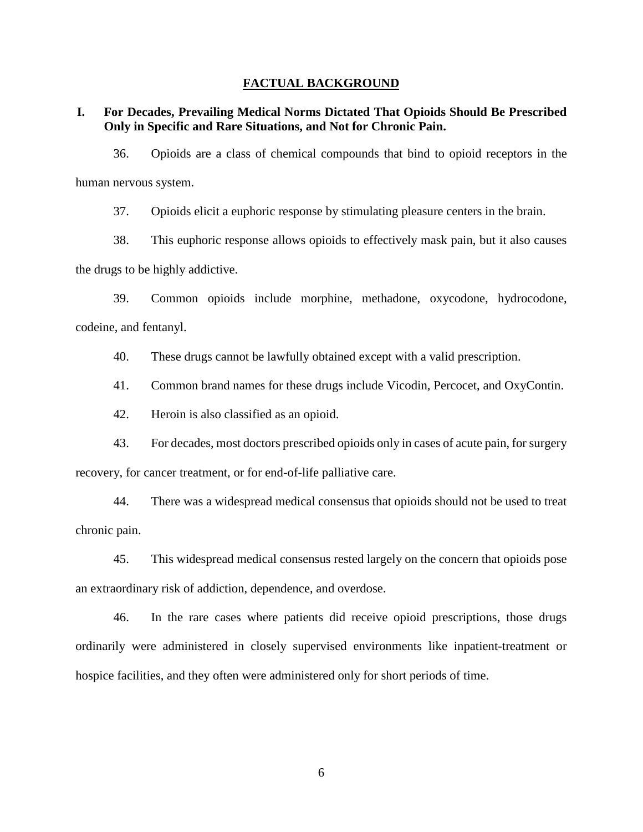#### **FACTUAL BACKGROUND**

**I. For Decades, Prevailing Medical Norms Dictated That Opioids Should Be Prescribed Only in Specific and Rare Situations, and Not for Chronic Pain.**

36. Opioids are a class of chemical compounds that bind to opioid receptors in the human nervous system.

37. Opioids elicit a euphoric response by stimulating pleasure centers in the brain.

38. This euphoric response allows opioids to effectively mask pain, but it also causes the drugs to be highly addictive.

39. Common opioids include morphine, methadone, oxycodone, hydrocodone, codeine, and fentanyl.

40. These drugs cannot be lawfully obtained except with a valid prescription.

41. Common brand names for these drugs include Vicodin, Percocet, and OxyContin.

42. Heroin is also classified as an opioid.

43. For decades, most doctors prescribed opioids only in cases of acute pain, for surgery recovery, for cancer treatment, or for end-of-life palliative care.

44. There was a widespread medical consensus that opioids should not be used to treat chronic pain.

45. This widespread medical consensus rested largely on the concern that opioids pose an extraordinary risk of addiction, dependence, and overdose.

46. In the rare cases where patients did receive opioid prescriptions, those drugs ordinarily were administered in closely supervised environments like inpatient-treatment or hospice facilities, and they often were administered only for short periods of time.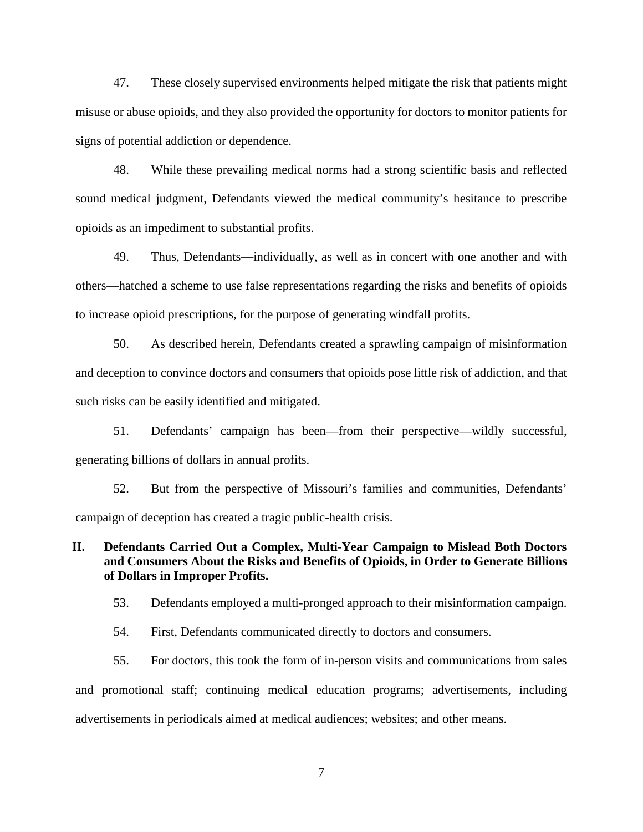47. These closely supervised environments helped mitigate the risk that patients might misuse or abuse opioids, and they also provided the opportunity for doctors to monitor patients for signs of potential addiction or dependence.

48. While these prevailing medical norms had a strong scientific basis and reflected sound medical judgment, Defendants viewed the medical community's hesitance to prescribe opioids as an impediment to substantial profits.

49. Thus, Defendants—individually, as well as in concert with one another and with others—hatched a scheme to use false representations regarding the risks and benefits of opioids to increase opioid prescriptions, for the purpose of generating windfall profits.

50. As described herein, Defendants created a sprawling campaign of misinformation and deception to convince doctors and consumers that opioids pose little risk of addiction, and that such risks can be easily identified and mitigated.

51. Defendants' campaign has been—from their perspective—wildly successful, generating billions of dollars in annual profits.

52. But from the perspective of Missouri's families and communities, Defendants' campaign of deception has created a tragic public-health crisis.

## **II. Defendants Carried Out a Complex, Multi-Year Campaign to Mislead Both Doctors and Consumers About the Risks and Benefits of Opioids, in Order to Generate Billions of Dollars in Improper Profits.**

53. Defendants employed a multi-pronged approach to their misinformation campaign.

54. First, Defendants communicated directly to doctors and consumers.

55. For doctors, this took the form of in-person visits and communications from sales and promotional staff; continuing medical education programs; advertisements, including advertisements in periodicals aimed at medical audiences; websites; and other means.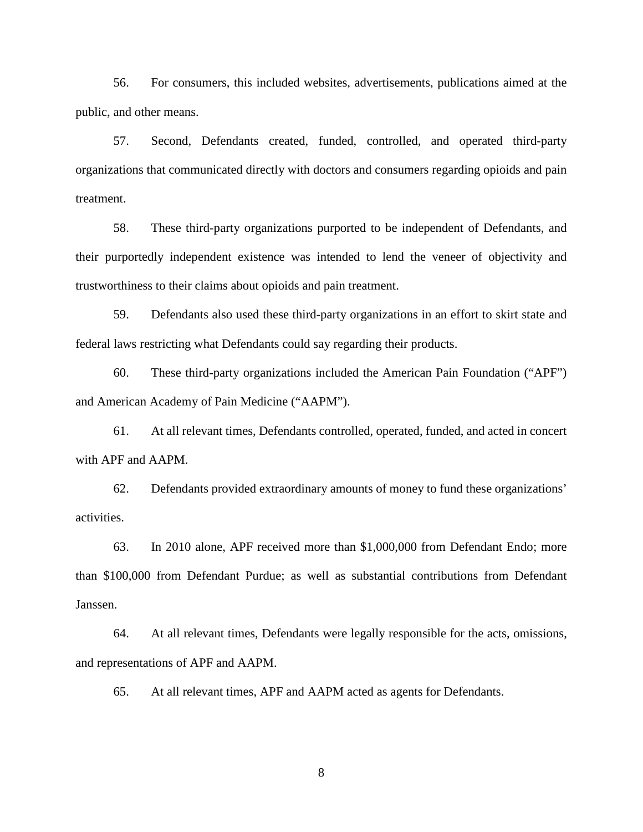56. For consumers, this included websites, advertisements, publications aimed at the public, and other means.

57. Second, Defendants created, funded, controlled, and operated third-party organizations that communicated directly with doctors and consumers regarding opioids and pain treatment.

58. These third-party organizations purported to be independent of Defendants, and their purportedly independent existence was intended to lend the veneer of objectivity and trustworthiness to their claims about opioids and pain treatment.

59. Defendants also used these third-party organizations in an effort to skirt state and federal laws restricting what Defendants could say regarding their products.

60. These third-party organizations included the American Pain Foundation ("APF") and American Academy of Pain Medicine ("AAPM").

61. At all relevant times, Defendants controlled, operated, funded, and acted in concert with APF and AAPM.

62. Defendants provided extraordinary amounts of money to fund these organizations' activities.

63. In 2010 alone, APF received more than \$1,000,000 from Defendant Endo; more than \$100,000 from Defendant Purdue; as well as substantial contributions from Defendant Janssen.

64. At all relevant times, Defendants were legally responsible for the acts, omissions, and representations of APF and AAPM.

65. At all relevant times, APF and AAPM acted as agents for Defendants.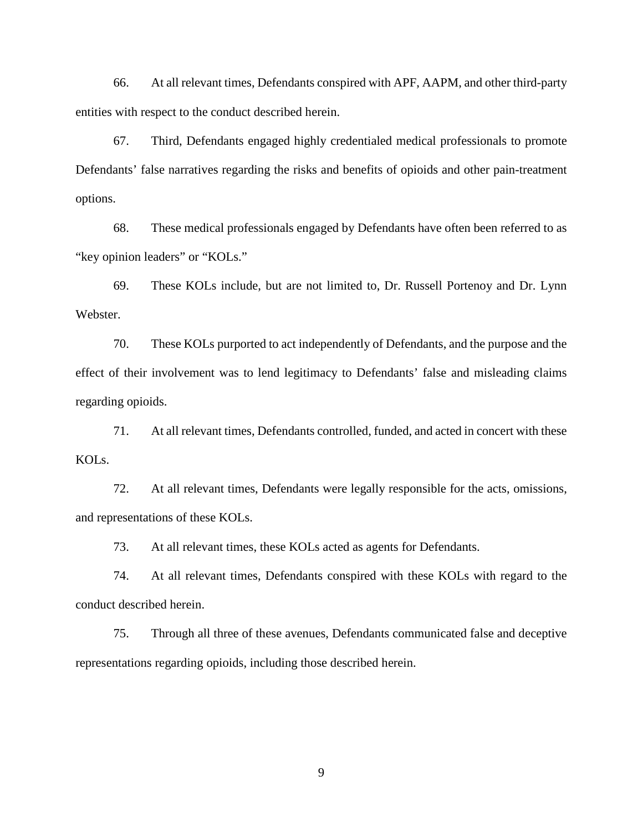66. At all relevant times, Defendants conspired with APF, AAPM, and other third-party entities with respect to the conduct described herein.

67. Third, Defendants engaged highly credentialed medical professionals to promote Defendants' false narratives regarding the risks and benefits of opioids and other pain-treatment options.

68. These medical professionals engaged by Defendants have often been referred to as "key opinion leaders" or "KOLs."

69. These KOLs include, but are not limited to, Dr. Russell Portenoy and Dr. Lynn Webster.

70. These KOLs purported to act independently of Defendants, and the purpose and the effect of their involvement was to lend legitimacy to Defendants' false and misleading claims regarding opioids.

71. At all relevant times, Defendants controlled, funded, and acted in concert with these KOLs.

72. At all relevant times, Defendants were legally responsible for the acts, omissions, and representations of these KOLs.

73. At all relevant times, these KOLs acted as agents for Defendants.

74. At all relevant times, Defendants conspired with these KOLs with regard to the conduct described herein.

75. Through all three of these avenues, Defendants communicated false and deceptive representations regarding opioids, including those described herein.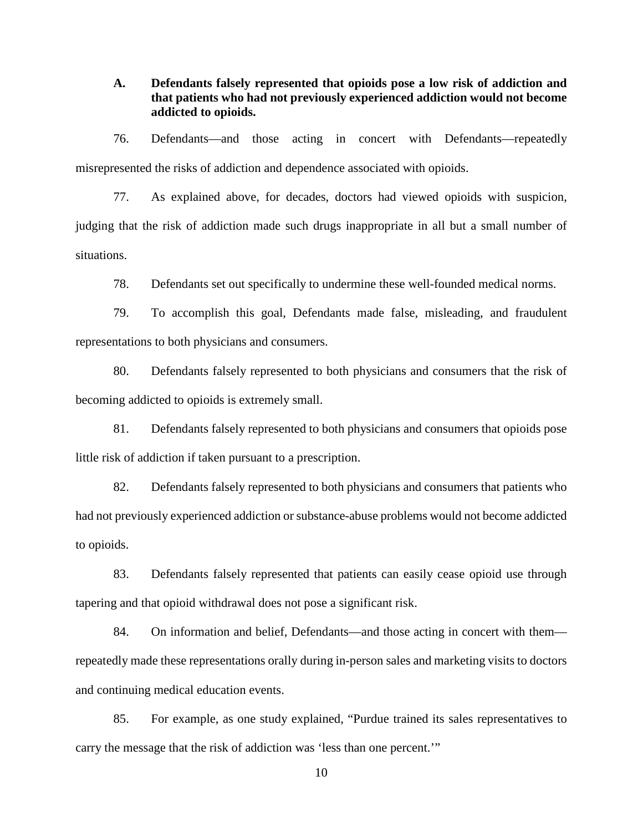**A. Defendants falsely represented that opioids pose a low risk of addiction and that patients who had not previously experienced addiction would not become addicted to opioids.**

76. Defendants—and those acting in concert with Defendants—repeatedly misrepresented the risks of addiction and dependence associated with opioids.

77. As explained above, for decades, doctors had viewed opioids with suspicion, judging that the risk of addiction made such drugs inappropriate in all but a small number of situations.

78. Defendants set out specifically to undermine these well-founded medical norms.

79. To accomplish this goal, Defendants made false, misleading, and fraudulent representations to both physicians and consumers.

80. Defendants falsely represented to both physicians and consumers that the risk of becoming addicted to opioids is extremely small.

81. Defendants falsely represented to both physicians and consumers that opioids pose little risk of addiction if taken pursuant to a prescription.

82. Defendants falsely represented to both physicians and consumers that patients who had not previously experienced addiction or substance-abuse problems would not become addicted to opioids.

83. Defendants falsely represented that patients can easily cease opioid use through tapering and that opioid withdrawal does not pose a significant risk.

84. On information and belief, Defendants—and those acting in concert with them repeatedly made these representations orally during in-person sales and marketing visits to doctors and continuing medical education events.

85. For example, as one study explained, "Purdue trained its sales representatives to carry the message that the risk of addiction was 'less than one percent.'"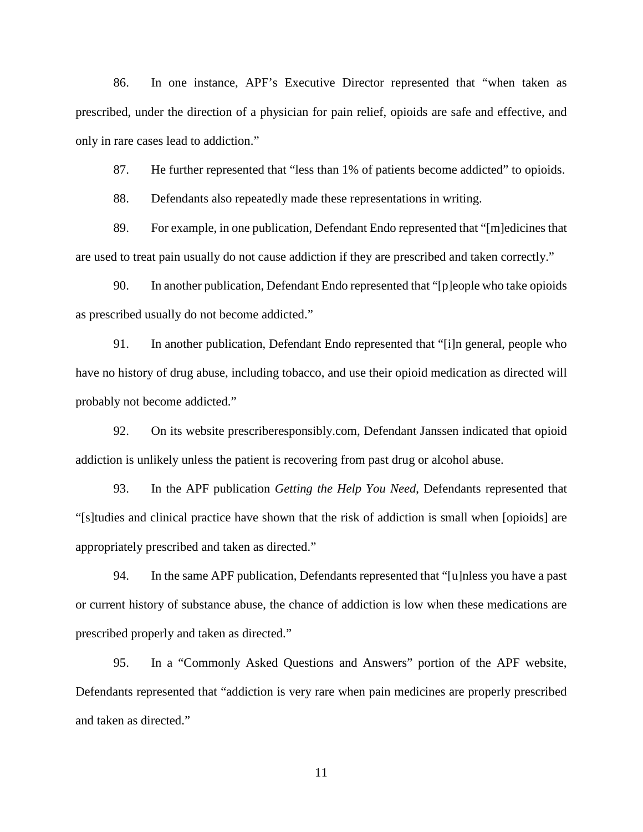86. In one instance, APF's Executive Director represented that "when taken as prescribed, under the direction of a physician for pain relief, opioids are safe and effective, and only in rare cases lead to addiction."

87. He further represented that "less than 1% of patients become addicted" to opioids.

88. Defendants also repeatedly made these representations in writing.

89. For example, in one publication, Defendant Endo represented that "[m]edicines that are used to treat pain usually do not cause addiction if they are prescribed and taken correctly."

90. In another publication, Defendant Endo represented that "[p]eople who take opioids as prescribed usually do not become addicted."

91. In another publication, Defendant Endo represented that "[i]n general, people who have no history of drug abuse, including tobacco, and use their opioid medication as directed will probably not become addicted."

92. On its website prescriberesponsibly.com, Defendant Janssen indicated that opioid addiction is unlikely unless the patient is recovering from past drug or alcohol abuse.

93. In the APF publication *Getting the Help You Need*, Defendants represented that "[s]tudies and clinical practice have shown that the risk of addiction is small when [opioids] are appropriately prescribed and taken as directed."

94. In the same APF publication, Defendants represented that "[u]nless you have a past or current history of substance abuse, the chance of addiction is low when these medications are prescribed properly and taken as directed."

95. In a "Commonly Asked Questions and Answers" portion of the APF website, Defendants represented that "addiction is very rare when pain medicines are properly prescribed and taken as directed."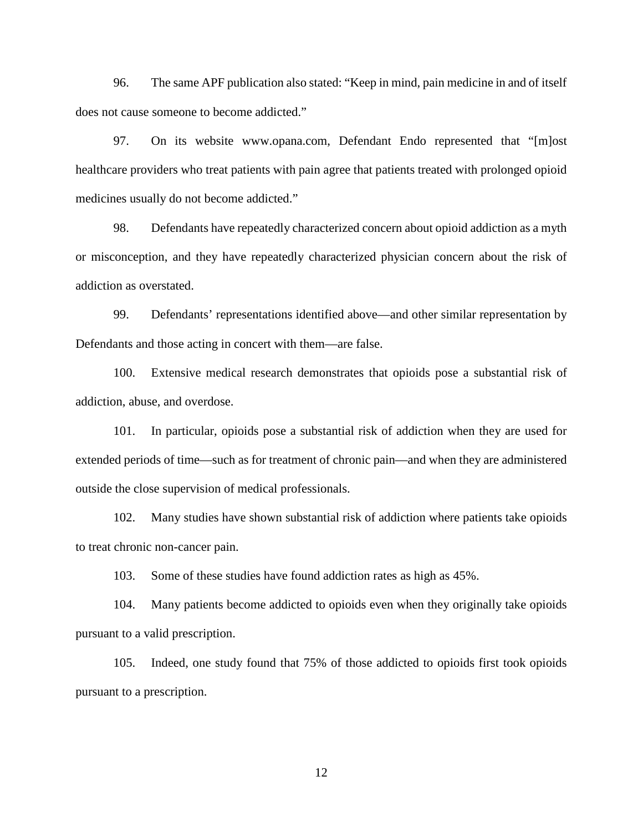96. The same APF publication also stated: "Keep in mind, pain medicine in and of itself does not cause someone to become addicted."

97. On its website www.opana.com, Defendant Endo represented that "[m]ost healthcare providers who treat patients with pain agree that patients treated with prolonged opioid medicines usually do not become addicted."

98. Defendants have repeatedly characterized concern about opioid addiction as a myth or misconception, and they have repeatedly characterized physician concern about the risk of addiction as overstated.

99. Defendants' representations identified above—and other similar representation by Defendants and those acting in concert with them—are false.

100. Extensive medical research demonstrates that opioids pose a substantial risk of addiction, abuse, and overdose.

101. In particular, opioids pose a substantial risk of addiction when they are used for extended periods of time—such as for treatment of chronic pain—and when they are administered outside the close supervision of medical professionals.

102. Many studies have shown substantial risk of addiction where patients take opioids to treat chronic non-cancer pain.

103. Some of these studies have found addiction rates as high as 45%.

104. Many patients become addicted to opioids even when they originally take opioids pursuant to a valid prescription.

105. Indeed, one study found that 75% of those addicted to opioids first took opioids pursuant to a prescription.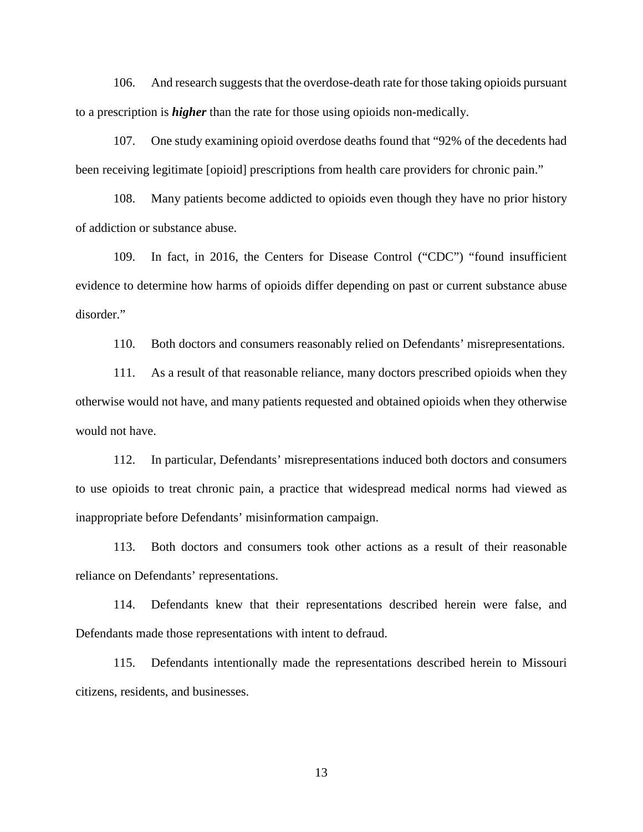106. And research suggests that the overdose-death rate for those taking opioids pursuant to a prescription is *higher* than the rate for those using opioids non-medically.

107. One study examining opioid overdose deaths found that "92% of the decedents had been receiving legitimate [opioid] prescriptions from health care providers for chronic pain."

108. Many patients become addicted to opioids even though they have no prior history of addiction or substance abuse.

109. In fact, in 2016, the Centers for Disease Control ("CDC") "found insufficient evidence to determine how harms of opioids differ depending on past or current substance abuse disorder."

110. Both doctors and consumers reasonably relied on Defendants' misrepresentations.

111. As a result of that reasonable reliance, many doctors prescribed opioids when they otherwise would not have, and many patients requested and obtained opioids when they otherwise would not have.

112. In particular, Defendants' misrepresentations induced both doctors and consumers to use opioids to treat chronic pain, a practice that widespread medical norms had viewed as inappropriate before Defendants' misinformation campaign.

113. Both doctors and consumers took other actions as a result of their reasonable reliance on Defendants' representations.

114. Defendants knew that their representations described herein were false, and Defendants made those representations with intent to defraud.

115. Defendants intentionally made the representations described herein to Missouri citizens, residents, and businesses.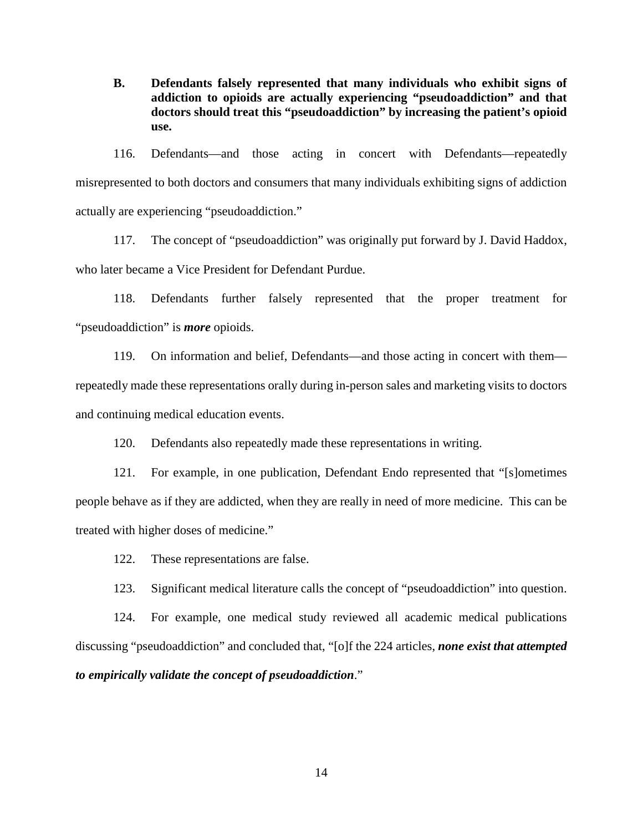**B. Defendants falsely represented that many individuals who exhibit signs of addiction to opioids are actually experiencing "pseudoaddiction" and that doctors should treat this "pseudoaddiction" by increasing the patient's opioid use.**

116. Defendants—and those acting in concert with Defendants—repeatedly misrepresented to both doctors and consumers that many individuals exhibiting signs of addiction actually are experiencing "pseudoaddiction."

117. The concept of "pseudoaddiction" was originally put forward by J. David Haddox, who later became a Vice President for Defendant Purdue.

118. Defendants further falsely represented that the proper treatment for "pseudoaddiction" is *more* opioids.

119. On information and belief, Defendants—and those acting in concert with them repeatedly made these representations orally during in-person sales and marketing visits to doctors and continuing medical education events.

120. Defendants also repeatedly made these representations in writing.

121. For example, in one publication, Defendant Endo represented that "[s]ometimes people behave as if they are addicted, when they are really in need of more medicine. This can be treated with higher doses of medicine."

122. These representations are false.

123. Significant medical literature calls the concept of "pseudoaddiction" into question.

124. For example, one medical study reviewed all academic medical publications discussing "pseudoaddiction" and concluded that, "[o]f the 224 articles, *none exist that attempted to empirically validate the concept of pseudoaddiction*."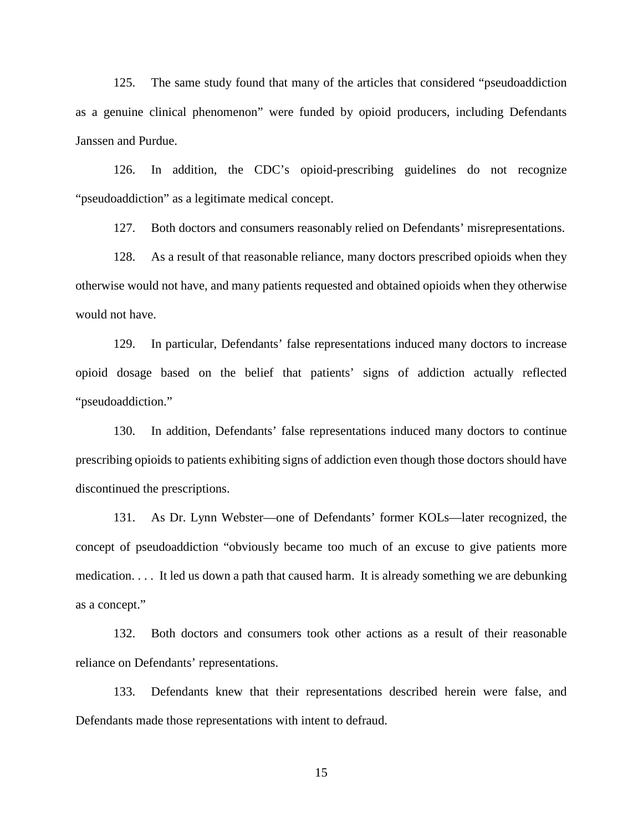125. The same study found that many of the articles that considered "pseudoaddiction as a genuine clinical phenomenon" were funded by opioid producers, including Defendants Janssen and Purdue.

126. In addition, the CDC's opioid-prescribing guidelines do not recognize "pseudoaddiction" as a legitimate medical concept.

127. Both doctors and consumers reasonably relied on Defendants' misrepresentations.

128. As a result of that reasonable reliance, many doctors prescribed opioids when they otherwise would not have, and many patients requested and obtained opioids when they otherwise would not have.

129. In particular, Defendants' false representations induced many doctors to increase opioid dosage based on the belief that patients' signs of addiction actually reflected "pseudoaddiction."

130. In addition, Defendants' false representations induced many doctors to continue prescribing opioids to patients exhibiting signs of addiction even though those doctors should have discontinued the prescriptions.

131. As Dr. Lynn Webster—one of Defendants' former KOLs—later recognized, the concept of pseudoaddiction "obviously became too much of an excuse to give patients more medication. . . . It led us down a path that caused harm. It is already something we are debunking as a concept."

132. Both doctors and consumers took other actions as a result of their reasonable reliance on Defendants' representations.

133. Defendants knew that their representations described herein were false, and Defendants made those representations with intent to defraud.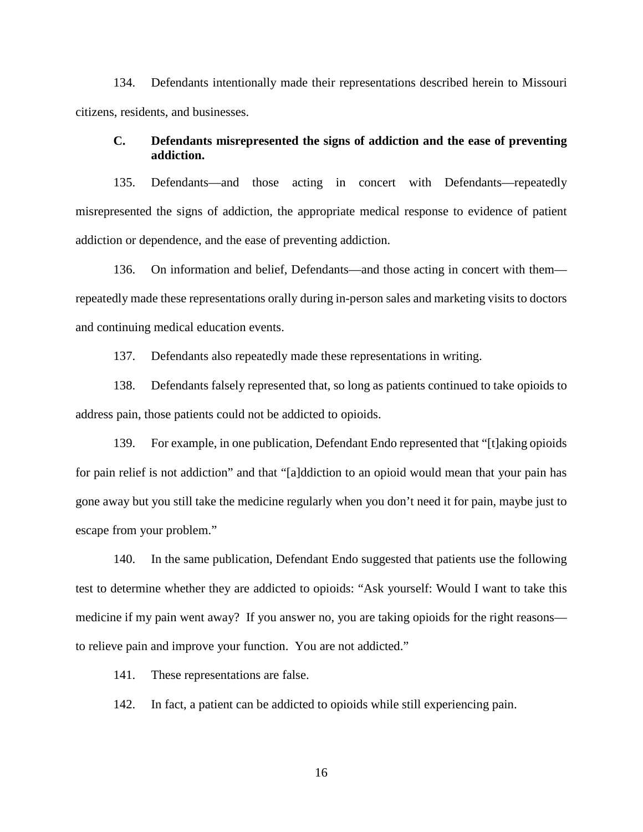134. Defendants intentionally made their representations described herein to Missouri citizens, residents, and businesses.

## **C. Defendants misrepresented the signs of addiction and the ease of preventing addiction.**

135. Defendants—and those acting in concert with Defendants—repeatedly misrepresented the signs of addiction, the appropriate medical response to evidence of patient addiction or dependence, and the ease of preventing addiction.

136. On information and belief, Defendants—and those acting in concert with them repeatedly made these representations orally during in-person sales and marketing visits to doctors and continuing medical education events.

137. Defendants also repeatedly made these representations in writing.

138. Defendants falsely represented that, so long as patients continued to take opioids to address pain, those patients could not be addicted to opioids.

139. For example, in one publication, Defendant Endo represented that "[t]aking opioids for pain relief is not addiction" and that "[a]ddiction to an opioid would mean that your pain has gone away but you still take the medicine regularly when you don't need it for pain, maybe just to escape from your problem."

140. In the same publication, Defendant Endo suggested that patients use the following test to determine whether they are addicted to opioids: "Ask yourself: Would I want to take this medicine if my pain went away? If you answer no, you are taking opioids for the right reasons to relieve pain and improve your function. You are not addicted."

141. These representations are false.

142. In fact, a patient can be addicted to opioids while still experiencing pain.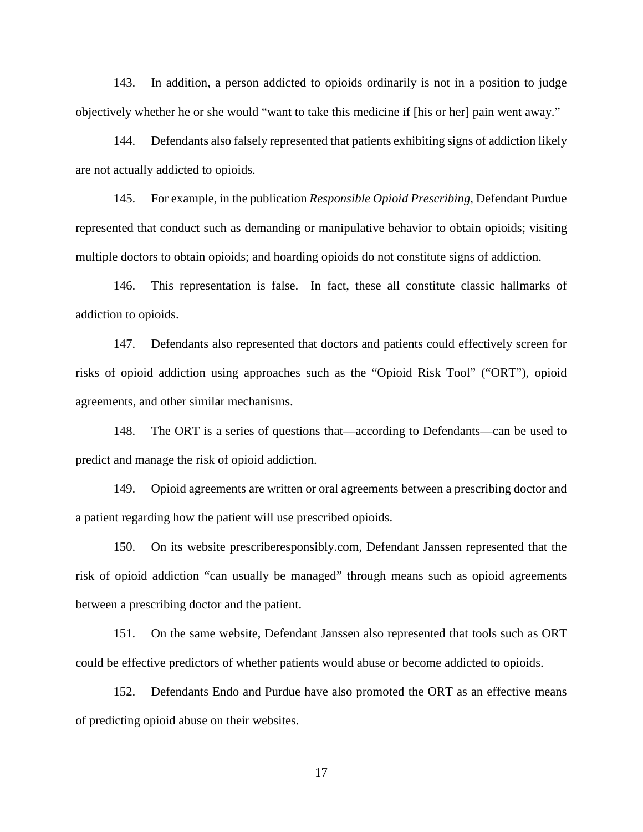143. In addition, a person addicted to opioids ordinarily is not in a position to judge objectively whether he or she would "want to take this medicine if [his or her] pain went away."

144. Defendants also falsely represented that patients exhibiting signs of addiction likely are not actually addicted to opioids.

145. For example, in the publication *Responsible Opioid Prescribing*, Defendant Purdue represented that conduct such as demanding or manipulative behavior to obtain opioids; visiting multiple doctors to obtain opioids; and hoarding opioids do not constitute signs of addiction.

146. This representation is false. In fact, these all constitute classic hallmarks of addiction to opioids.

147. Defendants also represented that doctors and patients could effectively screen for risks of opioid addiction using approaches such as the "Opioid Risk Tool" ("ORT"), opioid agreements, and other similar mechanisms.

148. The ORT is a series of questions that—according to Defendants—can be used to predict and manage the risk of opioid addiction.

149. Opioid agreements are written or oral agreements between a prescribing doctor and a patient regarding how the patient will use prescribed opioids.

150. On its website prescriberesponsibly.com, Defendant Janssen represented that the risk of opioid addiction "can usually be managed" through means such as opioid agreements between a prescribing doctor and the patient.

151. On the same website, Defendant Janssen also represented that tools such as ORT could be effective predictors of whether patients would abuse or become addicted to opioids.

152. Defendants Endo and Purdue have also promoted the ORT as an effective means of predicting opioid abuse on their websites.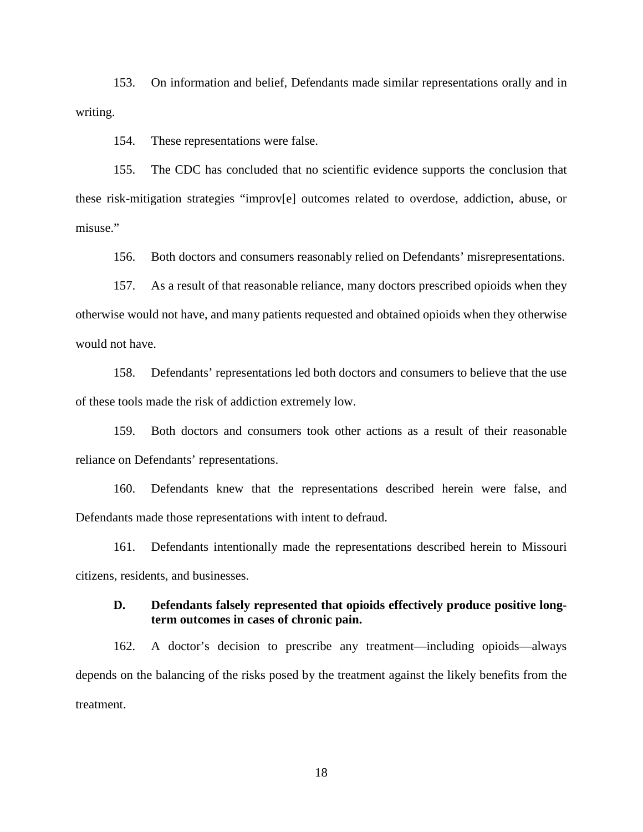153. On information and belief, Defendants made similar representations orally and in writing.

154. These representations were false.

155. The CDC has concluded that no scientific evidence supports the conclusion that these risk-mitigation strategies "improv[e] outcomes related to overdose, addiction, abuse, or misuse."

156. Both doctors and consumers reasonably relied on Defendants' misrepresentations.

157. As a result of that reasonable reliance, many doctors prescribed opioids when they otherwise would not have, and many patients requested and obtained opioids when they otherwise would not have.

158. Defendants' representations led both doctors and consumers to believe that the use of these tools made the risk of addiction extremely low.

159. Both doctors and consumers took other actions as a result of their reasonable reliance on Defendants' representations.

160. Defendants knew that the representations described herein were false, and Defendants made those representations with intent to defraud.

161. Defendants intentionally made the representations described herein to Missouri citizens, residents, and businesses.

## **D. Defendants falsely represented that opioids effectively produce positive longterm outcomes in cases of chronic pain.**

162. A doctor's decision to prescribe any treatment—including opioids—always depends on the balancing of the risks posed by the treatment against the likely benefits from the treatment.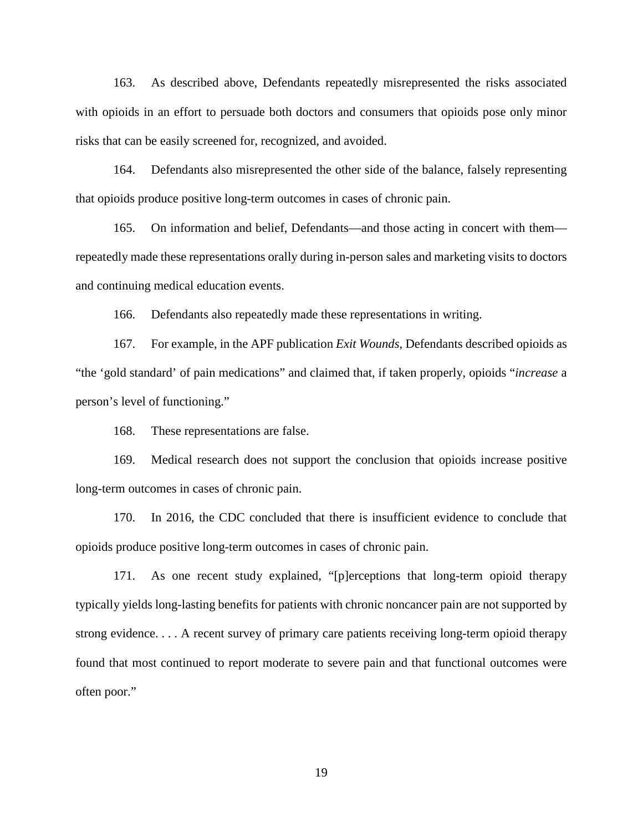163. As described above, Defendants repeatedly misrepresented the risks associated with opioids in an effort to persuade both doctors and consumers that opioids pose only minor risks that can be easily screened for, recognized, and avoided.

164. Defendants also misrepresented the other side of the balance, falsely representing that opioids produce positive long-term outcomes in cases of chronic pain.

165. On information and belief, Defendants—and those acting in concert with them repeatedly made these representations orally during in-person sales and marketing visits to doctors and continuing medical education events.

166. Defendants also repeatedly made these representations in writing.

167. For example, in the APF publication *Exit Wounds*, Defendants described opioids as "the 'gold standard' of pain medications" and claimed that, if taken properly, opioids "*increase* a person's level of functioning."

168. These representations are false.

169. Medical research does not support the conclusion that opioids increase positive long-term outcomes in cases of chronic pain.

170. In 2016, the CDC concluded that there is insufficient evidence to conclude that opioids produce positive long-term outcomes in cases of chronic pain.

171. As one recent study explained, "[p]erceptions that long-term opioid therapy typically yields long-lasting benefits for patients with chronic noncancer pain are not supported by strong evidence. . . . A recent survey of primary care patients receiving long-term opioid therapy found that most continued to report moderate to severe pain and that functional outcomes were often poor."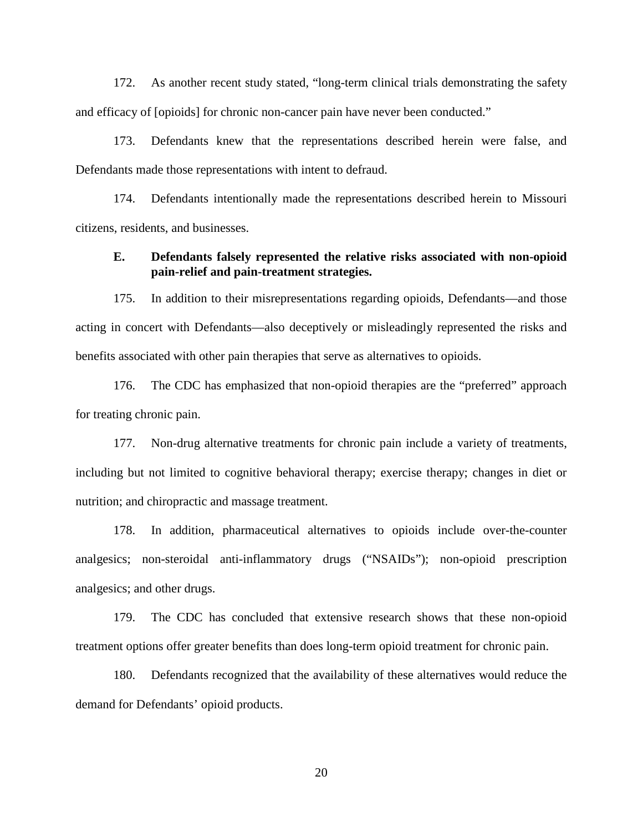172. As another recent study stated, "long-term clinical trials demonstrating the safety and efficacy of [opioids] for chronic non-cancer pain have never been conducted."

173. Defendants knew that the representations described herein were false, and Defendants made those representations with intent to defraud.

174. Defendants intentionally made the representations described herein to Missouri citizens, residents, and businesses.

#### **E. Defendants falsely represented the relative risks associated with non-opioid pain-relief and pain-treatment strategies.**

175. In addition to their misrepresentations regarding opioids, Defendants—and those acting in concert with Defendants—also deceptively or misleadingly represented the risks and benefits associated with other pain therapies that serve as alternatives to opioids.

176. The CDC has emphasized that non-opioid therapies are the "preferred" approach for treating chronic pain.

177. Non-drug alternative treatments for chronic pain include a variety of treatments, including but not limited to cognitive behavioral therapy; exercise therapy; changes in diet or nutrition; and chiropractic and massage treatment.

178. In addition, pharmaceutical alternatives to opioids include over-the-counter analgesics; non-steroidal anti-inflammatory drugs ("NSAIDs"); non-opioid prescription analgesics; and other drugs.

179. The CDC has concluded that extensive research shows that these non-opioid treatment options offer greater benefits than does long-term opioid treatment for chronic pain.

180. Defendants recognized that the availability of these alternatives would reduce the demand for Defendants' opioid products.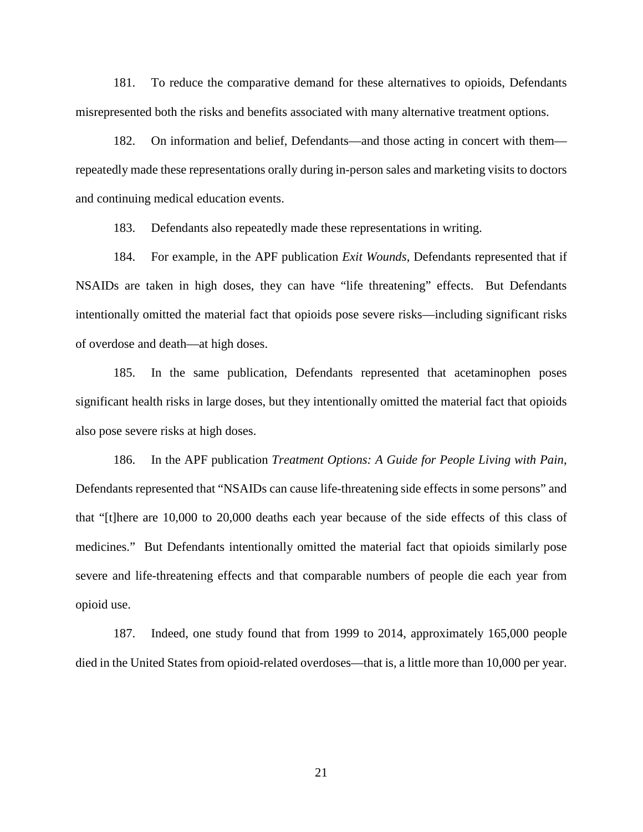181. To reduce the comparative demand for these alternatives to opioids, Defendants misrepresented both the risks and benefits associated with many alternative treatment options.

182. On information and belief, Defendants—and those acting in concert with them repeatedly made these representations orally during in-person sales and marketing visits to doctors and continuing medical education events.

183. Defendants also repeatedly made these representations in writing.

184. For example, in the APF publication *Exit Wounds*, Defendants represented that if NSAIDs are taken in high doses, they can have "life threatening" effects. But Defendants intentionally omitted the material fact that opioids pose severe risks—including significant risks of overdose and death—at high doses.

185. In the same publication, Defendants represented that acetaminophen poses significant health risks in large doses, but they intentionally omitted the material fact that opioids also pose severe risks at high doses.

186. In the APF publication *Treatment Options: A Guide for People Living with Pain*, Defendants represented that "NSAIDs can cause life-threatening side effects in some persons" and that "[t]here are 10,000 to 20,000 deaths each year because of the side effects of this class of medicines." But Defendants intentionally omitted the material fact that opioids similarly pose severe and life-threatening effects and that comparable numbers of people die each year from opioid use.

187. Indeed, one study found that from 1999 to 2014, approximately 165,000 people died in the United States from opioid-related overdoses—that is, a little more than 10,000 per year.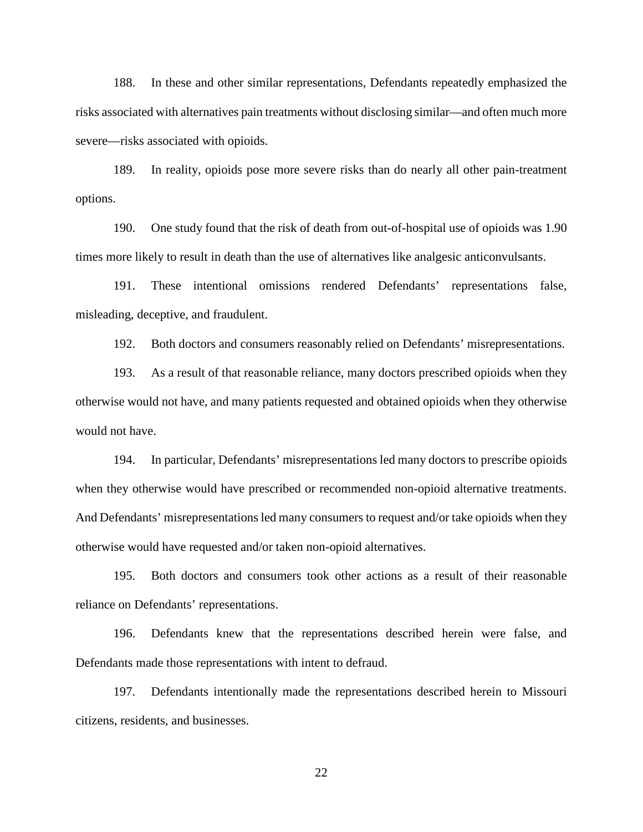188. In these and other similar representations, Defendants repeatedly emphasized the risks associated with alternatives pain treatments without disclosing similar—and often much more severe—risks associated with opioids.

189. In reality, opioids pose more severe risks than do nearly all other pain-treatment options.

190. One study found that the risk of death from out-of-hospital use of opioids was 1.90 times more likely to result in death than the use of alternatives like analgesic anticonvulsants.

191. These intentional omissions rendered Defendants' representations false, misleading, deceptive, and fraudulent.

192. Both doctors and consumers reasonably relied on Defendants' misrepresentations.

193. As a result of that reasonable reliance, many doctors prescribed opioids when they otherwise would not have, and many patients requested and obtained opioids when they otherwise would not have.

194. In particular, Defendants' misrepresentations led many doctors to prescribe opioids when they otherwise would have prescribed or recommended non-opioid alternative treatments. And Defendants' misrepresentations led many consumers to request and/or take opioids when they otherwise would have requested and/or taken non-opioid alternatives.

195. Both doctors and consumers took other actions as a result of their reasonable reliance on Defendants' representations.

196. Defendants knew that the representations described herein were false, and Defendants made those representations with intent to defraud.

197. Defendants intentionally made the representations described herein to Missouri citizens, residents, and businesses.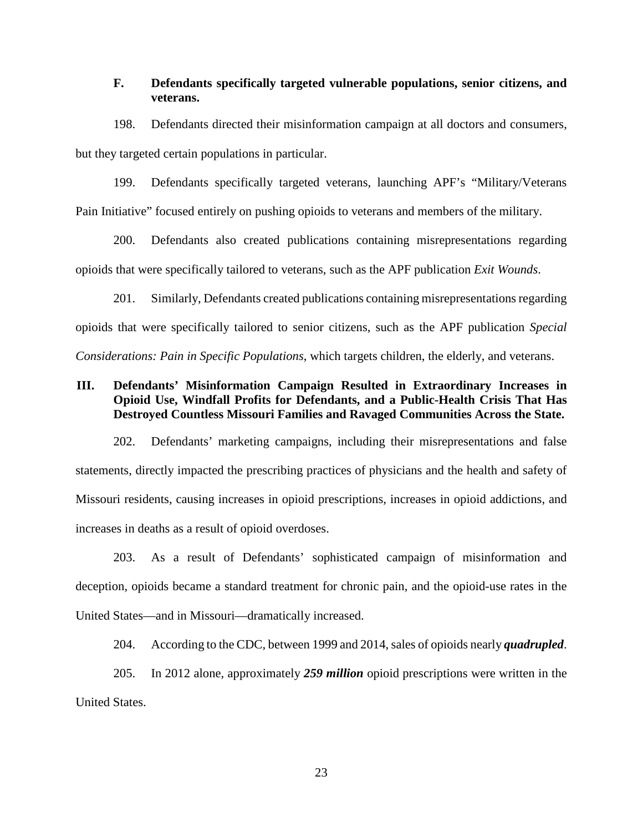## **F. Defendants specifically targeted vulnerable populations, senior citizens, and veterans.**

198. Defendants directed their misinformation campaign at all doctors and consumers, but they targeted certain populations in particular.

199. Defendants specifically targeted veterans, launching APF's "Military/Veterans Pain Initiative" focused entirely on pushing opioids to veterans and members of the military.

200. Defendants also created publications containing misrepresentations regarding opioids that were specifically tailored to veterans, such as the APF publication *Exit Wounds*.

201. Similarly, Defendants created publications containing misrepresentations regarding opioids that were specifically tailored to senior citizens, such as the APF publication *Special Considerations: Pain in Specific Populations*, which targets children, the elderly, and veterans.

## **III. Defendants' Misinformation Campaign Resulted in Extraordinary Increases in Opioid Use, Windfall Profits for Defendants, and a Public-Health Crisis That Has Destroyed Countless Missouri Families and Ravaged Communities Across the State.**

202. Defendants' marketing campaigns, including their misrepresentations and false statements, directly impacted the prescribing practices of physicians and the health and safety of Missouri residents, causing increases in opioid prescriptions, increases in opioid addictions, and increases in deaths as a result of opioid overdoses.

203. As a result of Defendants' sophisticated campaign of misinformation and deception, opioids became a standard treatment for chronic pain, and the opioid-use rates in the United States—and in Missouri—dramatically increased.

204. According to the CDC, between 1999 and 2014, sales of opioids nearly *quadrupled*.

205. In 2012 alone, approximately *259 million* opioid prescriptions were written in the United States.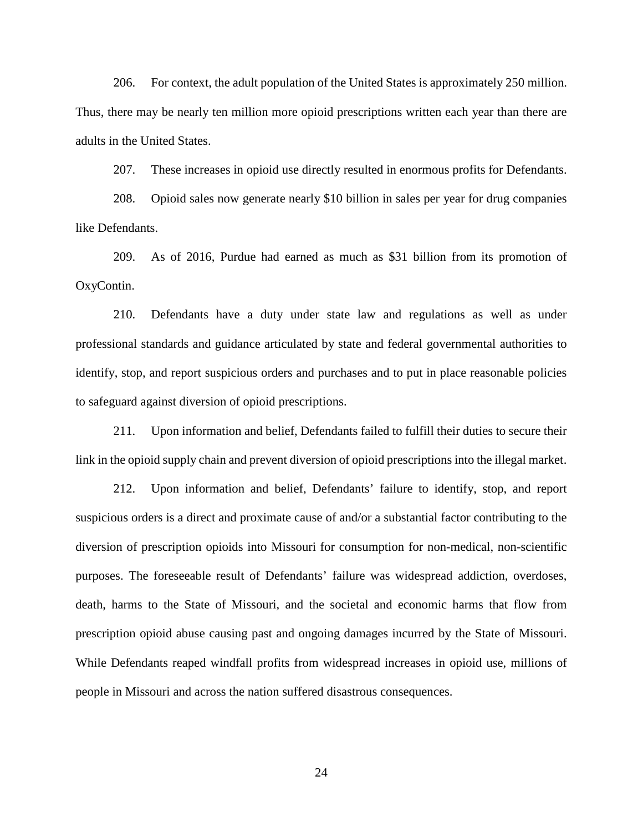206. For context, the adult population of the United States is approximately 250 million. Thus, there may be nearly ten million more opioid prescriptions written each year than there are adults in the United States.

207. These increases in opioid use directly resulted in enormous profits for Defendants.

208. Opioid sales now generate nearly \$10 billion in sales per year for drug companies like Defendants.

209. As of 2016, Purdue had earned as much as \$31 billion from its promotion of OxyContin.

210. Defendants have a duty under state law and regulations as well as under professional standards and guidance articulated by state and federal governmental authorities to identify, stop, and report suspicious orders and purchases and to put in place reasonable policies to safeguard against diversion of opioid prescriptions.

211. Upon information and belief, Defendants failed to fulfill their duties to secure their link in the opioid supply chain and prevent diversion of opioid prescriptions into the illegal market.

212. Upon information and belief, Defendants' failure to identify, stop, and report suspicious orders is a direct and proximate cause of and/or a substantial factor contributing to the diversion of prescription opioids into Missouri for consumption for non-medical, non-scientific purposes. The foreseeable result of Defendants' failure was widespread addiction, overdoses, death, harms to the State of Missouri, and the societal and economic harms that flow from prescription opioid abuse causing past and ongoing damages incurred by the State of Missouri. While Defendants reaped windfall profits from widespread increases in opioid use, millions of people in Missouri and across the nation suffered disastrous consequences.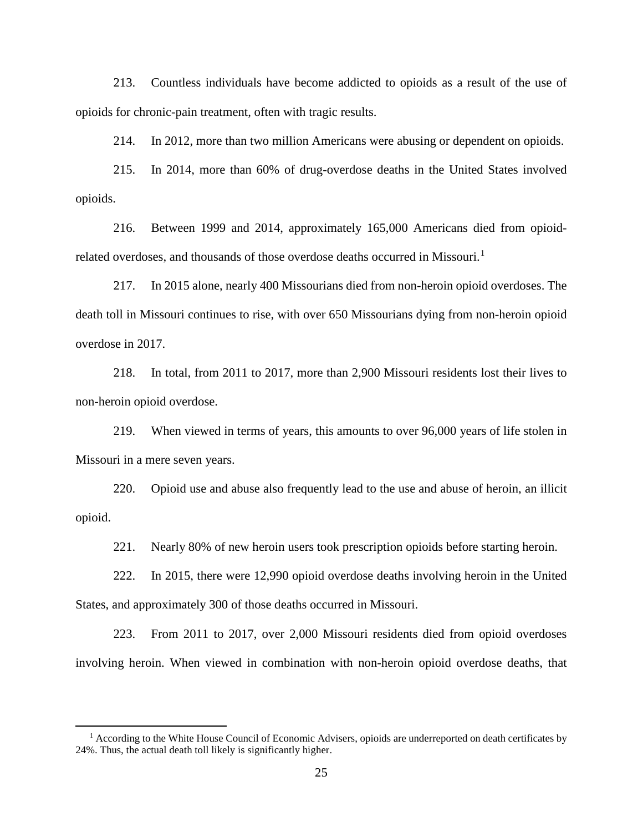213. Countless individuals have become addicted to opioids as a result of the use of opioids for chronic-pain treatment, often with tragic results.

214. In 2012, more than two million Americans were abusing or dependent on opioids.

215. In 2014, more than 60% of drug-overdose deaths in the United States involved opioids.

216. Between 1999 and 2014, approximately 165,000 Americans died from opioid-related overdoses, and thousands of those overdose deaths occurred in Missouri.<sup>[1](#page-24-0)</sup>

217. In 2015 alone, nearly 400 Missourians died from non-heroin opioid overdoses. The death toll in Missouri continues to rise, with over 650 Missourians dying from non-heroin opioid overdose in 2017.

218. In total, from 2011 to 2017, more than 2,900 Missouri residents lost their lives to non-heroin opioid overdose.

219. When viewed in terms of years, this amounts to over 96,000 years of life stolen in Missouri in a mere seven years.

220. Opioid use and abuse also frequently lead to the use and abuse of heroin, an illicit opioid.

221. Nearly 80% of new heroin users took prescription opioids before starting heroin.

222. In 2015, there were 12,990 opioid overdose deaths involving heroin in the United States, and approximately 300 of those deaths occurred in Missouri.

223. From 2011 to 2017, over 2,000 Missouri residents died from opioid overdoses involving heroin. When viewed in combination with non-heroin opioid overdose deaths, that

<span id="page-24-0"></span> $<sup>1</sup>$  According to the White House Council of Economic Advisers, opioids are underreported on death certificates by</sup> 24%. Thus, the actual death toll likely is significantly higher.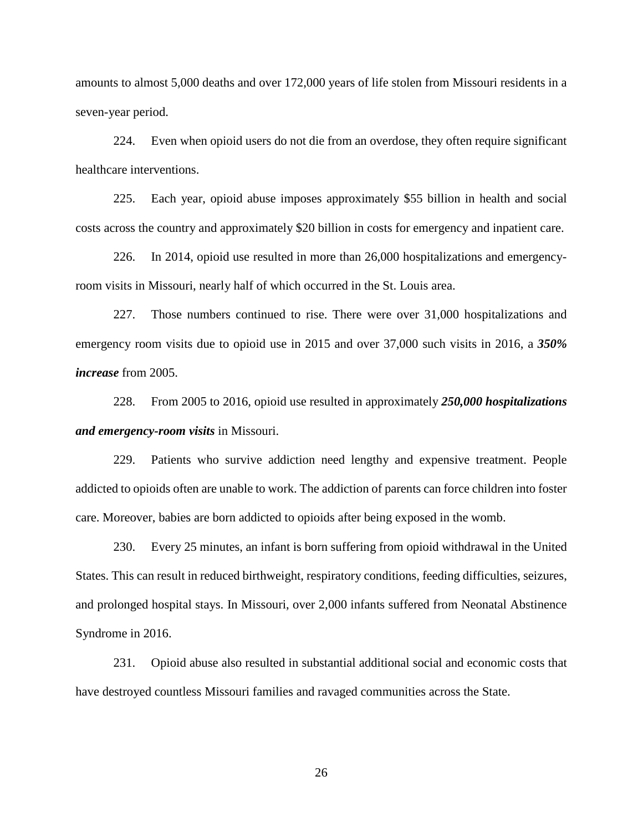amounts to almost 5,000 deaths and over 172,000 years of life stolen from Missouri residents in a seven-year period.

224. Even when opioid users do not die from an overdose, they often require significant healthcare interventions.

225. Each year, opioid abuse imposes approximately \$55 billion in health and social costs across the country and approximately \$20 billion in costs for emergency and inpatient care.

226. In 2014, opioid use resulted in more than 26,000 hospitalizations and emergencyroom visits in Missouri, nearly half of which occurred in the St. Louis area.

227. Those numbers continued to rise. There were over 31,000 hospitalizations and emergency room visits due to opioid use in 2015 and over 37,000 such visits in 2016, a *350% increase* from 2005.

228. From 2005 to 2016, opioid use resulted in approximately *250,000 hospitalizations and emergency-room visits* in Missouri.

229. Patients who survive addiction need lengthy and expensive treatment. People addicted to opioids often are unable to work. The addiction of parents can force children into foster care. Moreover, babies are born addicted to opioids after being exposed in the womb.

230. Every 25 minutes, an infant is born suffering from opioid withdrawal in the United States. This can result in reduced birthweight, respiratory conditions, feeding difficulties, seizures, and prolonged hospital stays. In Missouri, over 2,000 infants suffered from Neonatal Abstinence Syndrome in 2016.

231. Opioid abuse also resulted in substantial additional social and economic costs that have destroyed countless Missouri families and ravaged communities across the State.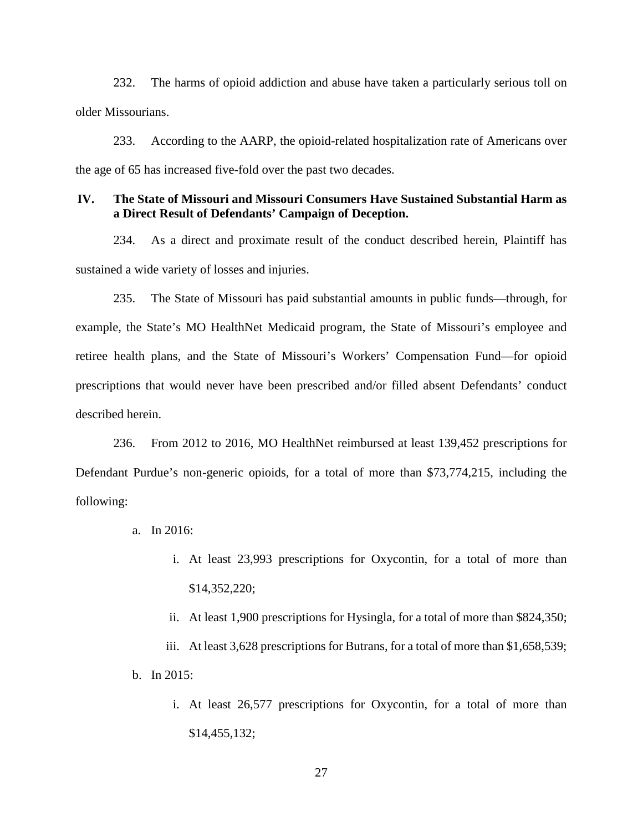232. The harms of opioid addiction and abuse have taken a particularly serious toll on older Missourians.

233. According to the AARP, the opioid-related hospitalization rate of Americans over the age of 65 has increased five-fold over the past two decades.

#### **IV. The State of Missouri and Missouri Consumers Have Sustained Substantial Harm as a Direct Result of Defendants' Campaign of Deception.**

234. As a direct and proximate result of the conduct described herein, Plaintiff has sustained a wide variety of losses and injuries.

235. The State of Missouri has paid substantial amounts in public funds—through, for example, the State's MO HealthNet Medicaid program, the State of Missouri's employee and retiree health plans, and the State of Missouri's Workers' Compensation Fund—for opioid prescriptions that would never have been prescribed and/or filled absent Defendants' conduct described herein.

236. From 2012 to 2016, MO HealthNet reimbursed at least 139,452 prescriptions for Defendant Purdue's non-generic opioids, for a total of more than \$73,774,215, including the following:

- a. In 2016:
	- i. At least 23,993 prescriptions for Oxycontin, for a total of more than \$14,352,220;
	- ii. At least 1,900 prescriptions for Hysingla, for a total of more than \$824,350;
- iii. At least 3,628 prescriptions for Butrans, for a total of more than \$1,658,539; b. In 2015:
	- i. At least 26,577 prescriptions for Oxycontin, for a total of more than \$14,455,132;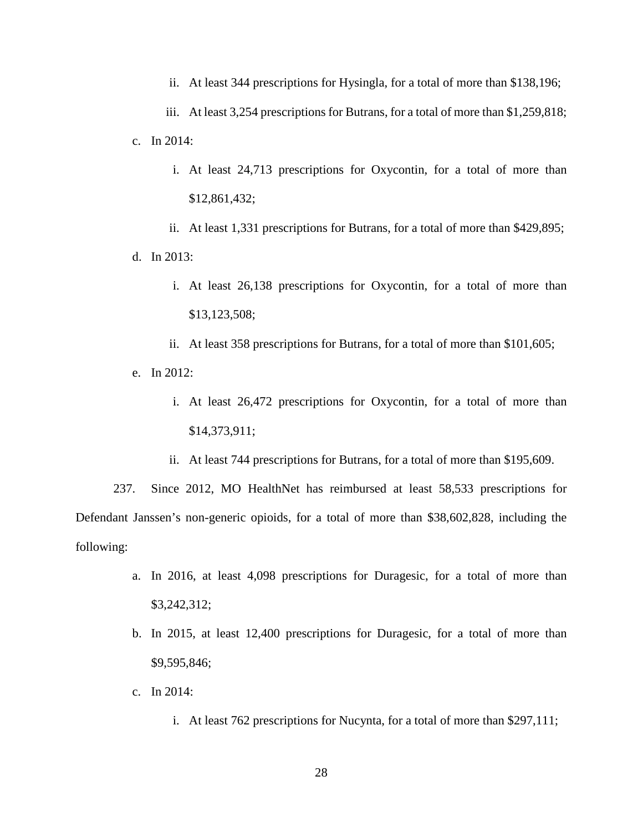ii. At least 344 prescriptions for Hysingla, for a total of more than \$138,196;

iii. At least 3,254 prescriptions for Butrans, for a total of more than \$1,259,818; c. In 2014:

i. At least 24,713 prescriptions for Oxycontin, for a total of more than \$12,861,432;

ii. At least 1,331 prescriptions for Butrans, for a total of more than \$429,895; d. In 2013:

- i. At least 26,138 prescriptions for Oxycontin, for a total of more than \$13,123,508;
- ii. At least 358 prescriptions for Butrans, for a total of more than \$101,605;
- e. In 2012:
	- i. At least 26,472 prescriptions for Oxycontin, for a total of more than \$14,373,911;
	- ii. At least 744 prescriptions for Butrans, for a total of more than \$195,609.

237. Since 2012, MO HealthNet has reimbursed at least 58,533 prescriptions for Defendant Janssen's non-generic opioids, for a total of more than \$38,602,828, including the following:

- a. In 2016, at least 4,098 prescriptions for Duragesic, for a total of more than \$3,242,312;
- b. In 2015, at least 12,400 prescriptions for Duragesic, for a total of more than \$9,595,846;
- c. In 2014:
	- i. At least 762 prescriptions for Nucynta, for a total of more than \$297,111;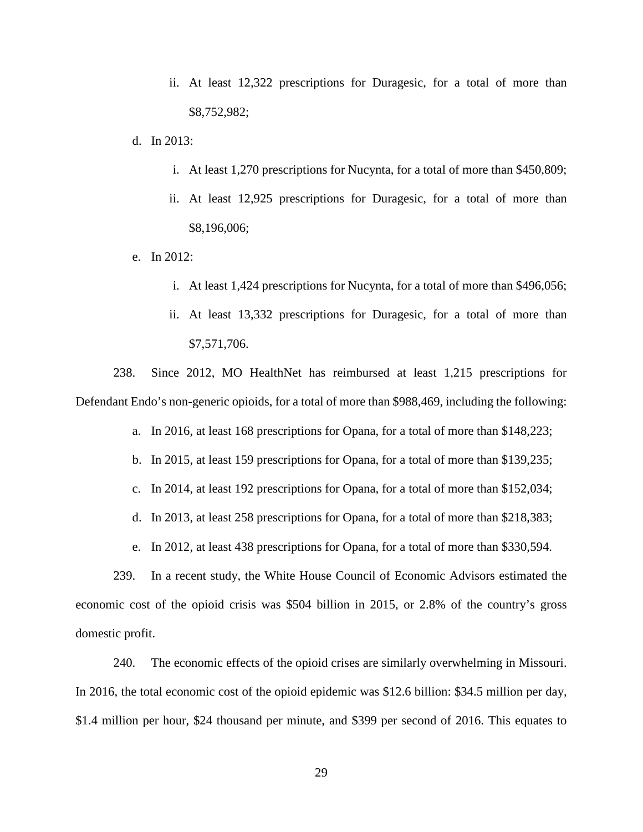- ii. At least 12,322 prescriptions for Duragesic, for a total of more than \$8,752,982;
- d. In 2013:
	- i. At least 1,270 prescriptions for Nucynta, for a total of more than \$450,809;
	- ii. At least 12,925 prescriptions for Duragesic, for a total of more than \$8,196,006;
- e. In 2012:
	- i. At least 1,424 prescriptions for Nucynta, for a total of more than \$496,056;
	- ii. At least 13,332 prescriptions for Duragesic, for a total of more than \$7,571,706.

238. Since 2012, MO HealthNet has reimbursed at least 1,215 prescriptions for Defendant Endo's non-generic opioids, for a total of more than \$988,469, including the following:

- a. In 2016, at least 168 prescriptions for Opana, for a total of more than \$148,223;
- b. In 2015, at least 159 prescriptions for Opana, for a total of more than \$139,235;
- c. In 2014, at least 192 prescriptions for Opana, for a total of more than \$152,034;
- d. In 2013, at least 258 prescriptions for Opana, for a total of more than \$218,383;
- e. In 2012, at least 438 prescriptions for Opana, for a total of more than \$330,594.

239. In a recent study, the White House Council of Economic Advisors estimated the economic cost of the opioid crisis was \$504 billion in 2015, or 2.8% of the country's gross domestic profit.

240. The economic effects of the opioid crises are similarly overwhelming in Missouri. In 2016, the total economic cost of the opioid epidemic was \$12.6 billion: \$34.5 million per day, \$1.4 million per hour, \$24 thousand per minute, and \$399 per second of 2016. This equates to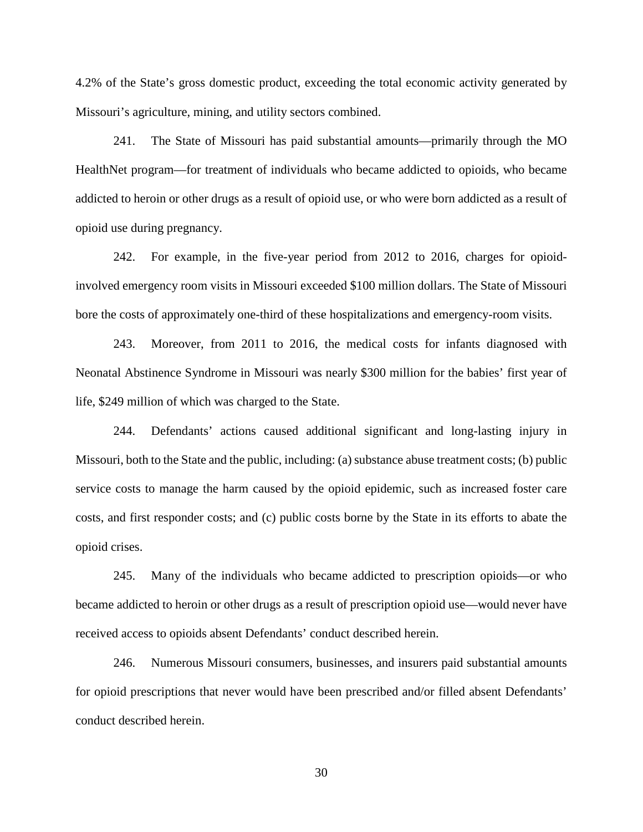4.2% of the State's gross domestic product, exceeding the total economic activity generated by Missouri's agriculture, mining, and utility sectors combined.

241. The State of Missouri has paid substantial amounts—primarily through the MO HealthNet program—for treatment of individuals who became addicted to opioids, who became addicted to heroin or other drugs as a result of opioid use, or who were born addicted as a result of opioid use during pregnancy.

242. For example, in the five-year period from 2012 to 2016, charges for opioidinvolved emergency room visits in Missouri exceeded \$100 million dollars. The State of Missouri bore the costs of approximately one-third of these hospitalizations and emergency-room visits.

243. Moreover, from 2011 to 2016, the medical costs for infants diagnosed with Neonatal Abstinence Syndrome in Missouri was nearly \$300 million for the babies' first year of life, \$249 million of which was charged to the State.

244. Defendants' actions caused additional significant and long-lasting injury in Missouri, both to the State and the public, including: (a) substance abuse treatment costs; (b) public service costs to manage the harm caused by the opioid epidemic, such as increased foster care costs, and first responder costs; and (c) public costs borne by the State in its efforts to abate the opioid crises.

245. Many of the individuals who became addicted to prescription opioids—or who became addicted to heroin or other drugs as a result of prescription opioid use—would never have received access to opioids absent Defendants' conduct described herein.

246. Numerous Missouri consumers, businesses, and insurers paid substantial amounts for opioid prescriptions that never would have been prescribed and/or filled absent Defendants' conduct described herein.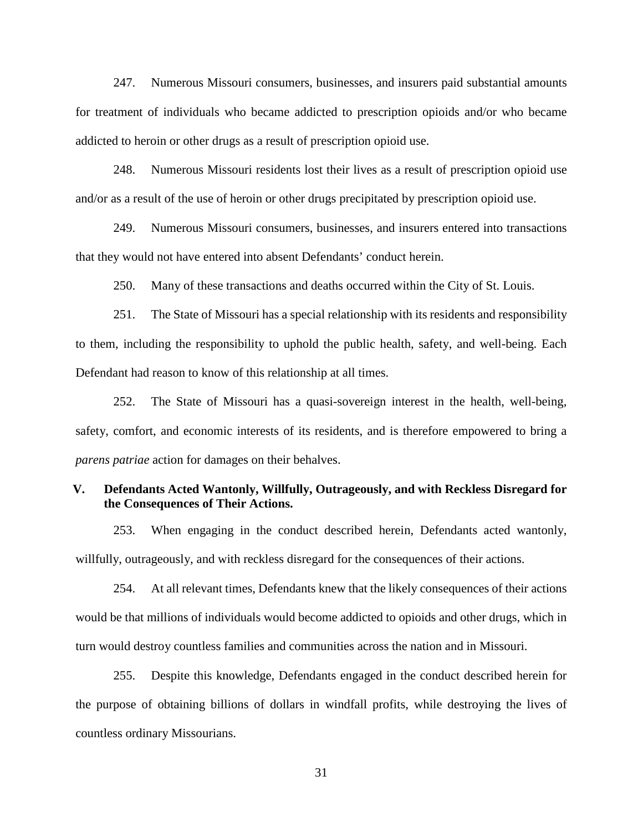247. Numerous Missouri consumers, businesses, and insurers paid substantial amounts for treatment of individuals who became addicted to prescription opioids and/or who became addicted to heroin or other drugs as a result of prescription opioid use.

248. Numerous Missouri residents lost their lives as a result of prescription opioid use and/or as a result of the use of heroin or other drugs precipitated by prescription opioid use.

249. Numerous Missouri consumers, businesses, and insurers entered into transactions that they would not have entered into absent Defendants' conduct herein.

250. Many of these transactions and deaths occurred within the City of St. Louis.

251. The State of Missouri has a special relationship with its residents and responsibility to them, including the responsibility to uphold the public health, safety, and well-being. Each Defendant had reason to know of this relationship at all times.

252. The State of Missouri has a quasi-sovereign interest in the health, well-being, safety, comfort, and economic interests of its residents, and is therefore empowered to bring a *parens patriae* action for damages on their behalves.

## **V. Defendants Acted Wantonly, Willfully, Outrageously, and with Reckless Disregard for the Consequences of Their Actions.**

253. When engaging in the conduct described herein, Defendants acted wantonly, willfully, outrageously, and with reckless disregard for the consequences of their actions.

254. At all relevant times, Defendants knew that the likely consequences of their actions would be that millions of individuals would become addicted to opioids and other drugs, which in turn would destroy countless families and communities across the nation and in Missouri.

255. Despite this knowledge, Defendants engaged in the conduct described herein for the purpose of obtaining billions of dollars in windfall profits, while destroying the lives of countless ordinary Missourians.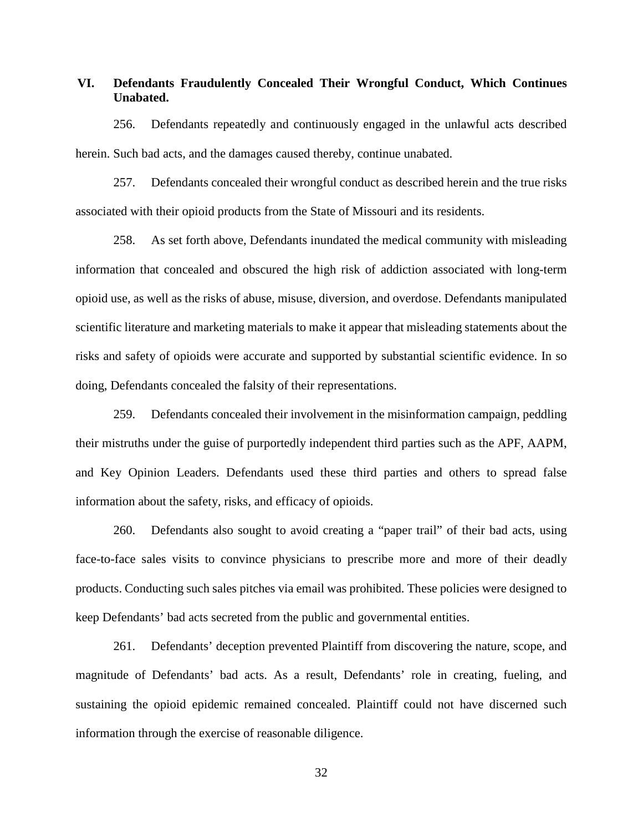## **VI. Defendants Fraudulently Concealed Their Wrongful Conduct, Which Continues Unabated.**

256. Defendants repeatedly and continuously engaged in the unlawful acts described herein. Such bad acts, and the damages caused thereby, continue unabated.

257. Defendants concealed their wrongful conduct as described herein and the true risks associated with their opioid products from the State of Missouri and its residents.

258. As set forth above, Defendants inundated the medical community with misleading information that concealed and obscured the high risk of addiction associated with long-term opioid use, as well as the risks of abuse, misuse, diversion, and overdose. Defendants manipulated scientific literature and marketing materials to make it appear that misleading statements about the risks and safety of opioids were accurate and supported by substantial scientific evidence. In so doing, Defendants concealed the falsity of their representations.

259. Defendants concealed their involvement in the misinformation campaign, peddling their mistruths under the guise of purportedly independent third parties such as the APF, AAPM, and Key Opinion Leaders. Defendants used these third parties and others to spread false information about the safety, risks, and efficacy of opioids.

260. Defendants also sought to avoid creating a "paper trail" of their bad acts, using face-to-face sales visits to convince physicians to prescribe more and more of their deadly products. Conducting such sales pitches via email was prohibited. These policies were designed to keep Defendants' bad acts secreted from the public and governmental entities.

261. Defendants' deception prevented Plaintiff from discovering the nature, scope, and magnitude of Defendants' bad acts. As a result, Defendants' role in creating, fueling, and sustaining the opioid epidemic remained concealed. Plaintiff could not have discerned such information through the exercise of reasonable diligence.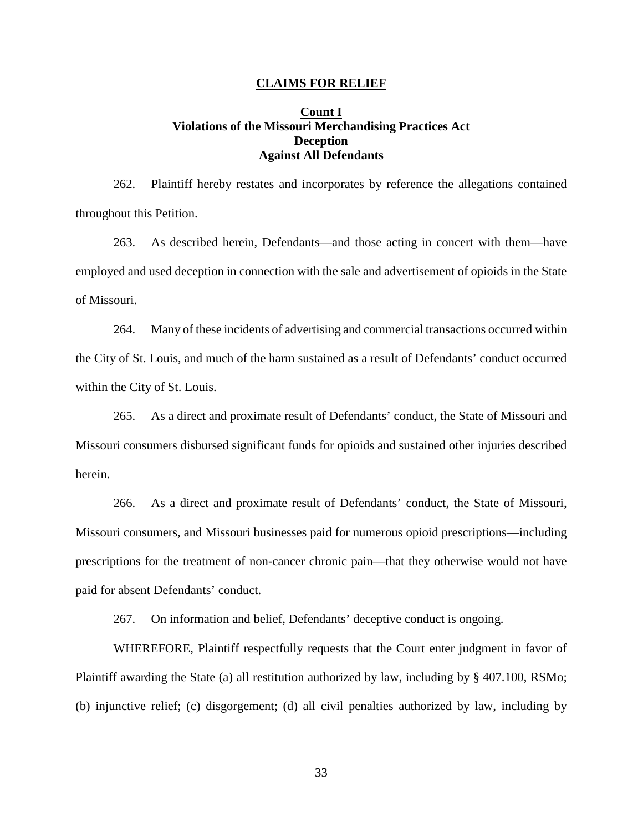#### **CLAIMS FOR RELIEF**

### **Count I Violations of the Missouri Merchandising Practices Act Deception Against All Defendants**

262. Plaintiff hereby restates and incorporates by reference the allegations contained throughout this Petition.

263. As described herein, Defendants—and those acting in concert with them—have employed and used deception in connection with the sale and advertisement of opioids in the State of Missouri.

264. Many of these incidents of advertising and commercial transactions occurred within the City of St. Louis, and much of the harm sustained as a result of Defendants' conduct occurred within the City of St. Louis.

265. As a direct and proximate result of Defendants' conduct, the State of Missouri and Missouri consumers disbursed significant funds for opioids and sustained other injuries described herein.

266. As a direct and proximate result of Defendants' conduct, the State of Missouri, Missouri consumers, and Missouri businesses paid for numerous opioid prescriptions—including prescriptions for the treatment of non-cancer chronic pain—that they otherwise would not have paid for absent Defendants' conduct.

267. On information and belief, Defendants' deceptive conduct is ongoing.

WHEREFORE, Plaintiff respectfully requests that the Court enter judgment in favor of Plaintiff awarding the State (a) all restitution authorized by law, including by § 407.100, RSMo; (b) injunctive relief; (c) disgorgement; (d) all civil penalties authorized by law, including by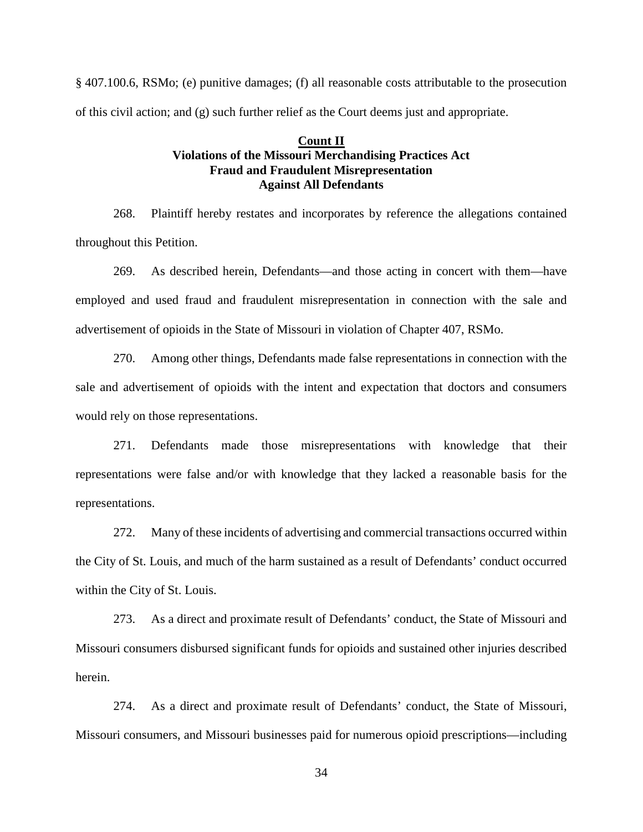§ 407.100.6, RSMo; (e) punitive damages; (f) all reasonable costs attributable to the prosecution of this civil action; and (g) such further relief as the Court deems just and appropriate.

## **Count II Violations of the Missouri Merchandising Practices Act Fraud and Fraudulent Misrepresentation Against All Defendants**

268. Plaintiff hereby restates and incorporates by reference the allegations contained throughout this Petition.

269. As described herein, Defendants—and those acting in concert with them—have employed and used fraud and fraudulent misrepresentation in connection with the sale and advertisement of opioids in the State of Missouri in violation of Chapter 407, RSMo.

270. Among other things, Defendants made false representations in connection with the sale and advertisement of opioids with the intent and expectation that doctors and consumers would rely on those representations.

271. Defendants made those misrepresentations with knowledge that their representations were false and/or with knowledge that they lacked a reasonable basis for the representations.

272. Many of these incidents of advertising and commercial transactions occurred within the City of St. Louis, and much of the harm sustained as a result of Defendants' conduct occurred within the City of St. Louis.

273. As a direct and proximate result of Defendants' conduct, the State of Missouri and Missouri consumers disbursed significant funds for opioids and sustained other injuries described herein.

274. As a direct and proximate result of Defendants' conduct, the State of Missouri, Missouri consumers, and Missouri businesses paid for numerous opioid prescriptions—including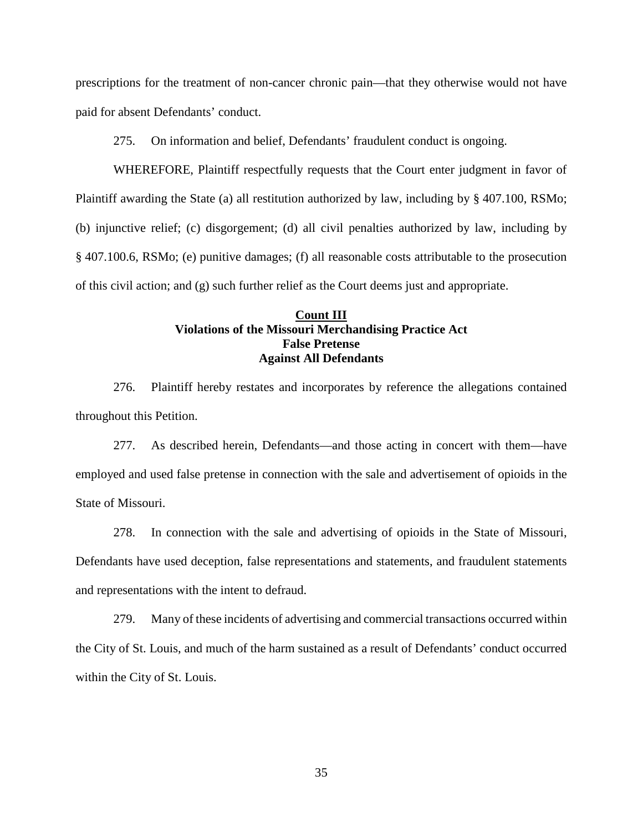prescriptions for the treatment of non-cancer chronic pain—that they otherwise would not have paid for absent Defendants' conduct.

275. On information and belief, Defendants' fraudulent conduct is ongoing.

WHEREFORE, Plaintiff respectfully requests that the Court enter judgment in favor of Plaintiff awarding the State (a) all restitution authorized by law, including by § 407.100, RSMo; (b) injunctive relief; (c) disgorgement; (d) all civil penalties authorized by law, including by § 407.100.6, RSMo; (e) punitive damages; (f) all reasonable costs attributable to the prosecution of this civil action; and (g) such further relief as the Court deems just and appropriate.

## **Count III Violations of the Missouri Merchandising Practice Act False Pretense Against All Defendants**

276. Plaintiff hereby restates and incorporates by reference the allegations contained throughout this Petition.

277. As described herein, Defendants—and those acting in concert with them—have employed and used false pretense in connection with the sale and advertisement of opioids in the State of Missouri.

278. In connection with the sale and advertising of opioids in the State of Missouri, Defendants have used deception, false representations and statements, and fraudulent statements and representations with the intent to defraud.

279. Many of these incidents of advertising and commercial transactions occurred within the City of St. Louis, and much of the harm sustained as a result of Defendants' conduct occurred within the City of St. Louis.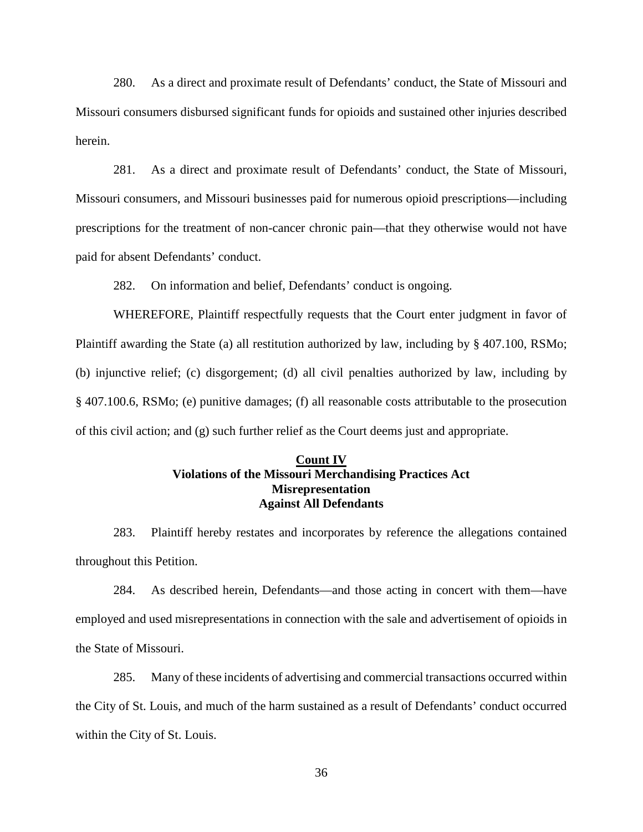280. As a direct and proximate result of Defendants' conduct, the State of Missouri and Missouri consumers disbursed significant funds for opioids and sustained other injuries described herein.

281. As a direct and proximate result of Defendants' conduct, the State of Missouri, Missouri consumers, and Missouri businesses paid for numerous opioid prescriptions—including prescriptions for the treatment of non-cancer chronic pain—that they otherwise would not have paid for absent Defendants' conduct.

282. On information and belief, Defendants' conduct is ongoing.

WHEREFORE, Plaintiff respectfully requests that the Court enter judgment in favor of Plaintiff awarding the State (a) all restitution authorized by law, including by § 407.100, RSMo; (b) injunctive relief; (c) disgorgement; (d) all civil penalties authorized by law, including by § 407.100.6, RSMo; (e) punitive damages; (f) all reasonable costs attributable to the prosecution of this civil action; and (g) such further relief as the Court deems just and appropriate.

## **Count IV Violations of the Missouri Merchandising Practices Act Misrepresentation Against All Defendants**

283. Plaintiff hereby restates and incorporates by reference the allegations contained throughout this Petition.

284. As described herein, Defendants—and those acting in concert with them—have employed and used misrepresentations in connection with the sale and advertisement of opioids in the State of Missouri.

285. Many of these incidents of advertising and commercial transactions occurred within the City of St. Louis, and much of the harm sustained as a result of Defendants' conduct occurred within the City of St. Louis.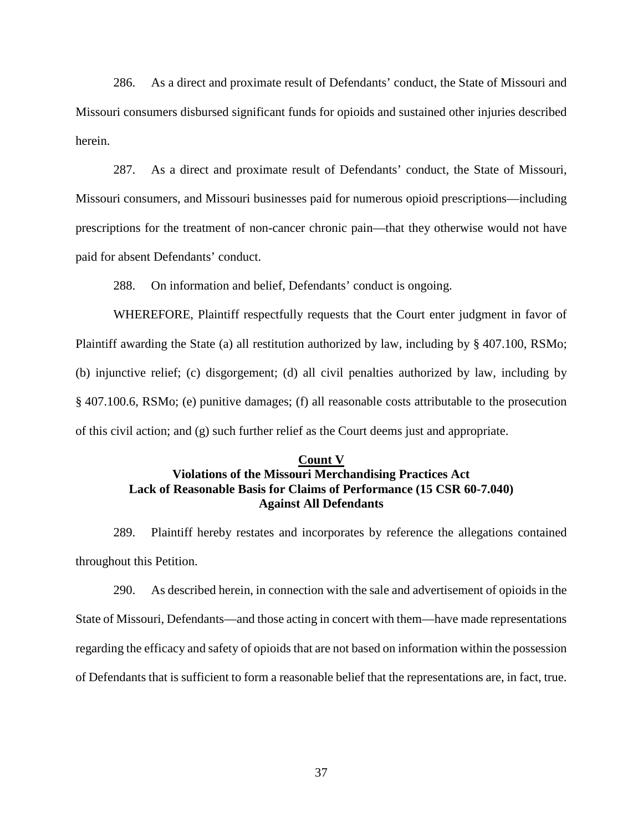286. As a direct and proximate result of Defendants' conduct, the State of Missouri and Missouri consumers disbursed significant funds for opioids and sustained other injuries described herein.

287. As a direct and proximate result of Defendants' conduct, the State of Missouri, Missouri consumers, and Missouri businesses paid for numerous opioid prescriptions—including prescriptions for the treatment of non-cancer chronic pain—that they otherwise would not have paid for absent Defendants' conduct.

288. On information and belief, Defendants' conduct is ongoing.

WHEREFORE, Plaintiff respectfully requests that the Court enter judgment in favor of Plaintiff awarding the State (a) all restitution authorized by law, including by § 407.100, RSMo; (b) injunctive relief; (c) disgorgement; (d) all civil penalties authorized by law, including by § 407.100.6, RSMo; (e) punitive damages; (f) all reasonable costs attributable to the prosecution of this civil action; and (g) such further relief as the Court deems just and appropriate.

#### **Count V**

## **Violations of the Missouri Merchandising Practices Act Lack of Reasonable Basis for Claims of Performance (15 CSR 60-7.040) Against All Defendants**

289. Plaintiff hereby restates and incorporates by reference the allegations contained throughout this Petition.

290. As described herein, in connection with the sale and advertisement of opioids in the State of Missouri, Defendants—and those acting in concert with them—have made representations regarding the efficacy and safety of opioids that are not based on information within the possession of Defendants that is sufficient to form a reasonable belief that the representations are, in fact, true.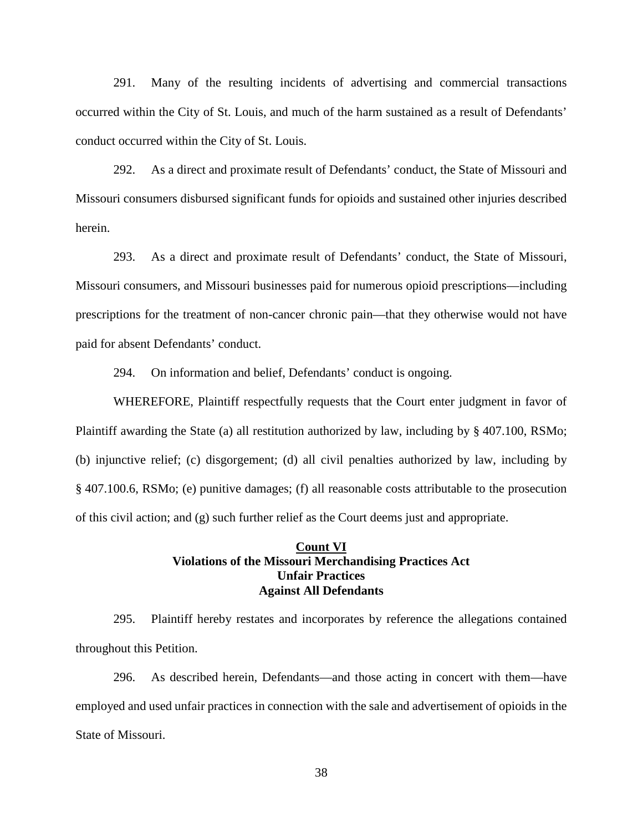291. Many of the resulting incidents of advertising and commercial transactions occurred within the City of St. Louis, and much of the harm sustained as a result of Defendants' conduct occurred within the City of St. Louis.

292. As a direct and proximate result of Defendants' conduct, the State of Missouri and Missouri consumers disbursed significant funds for opioids and sustained other injuries described herein.

293. As a direct and proximate result of Defendants' conduct, the State of Missouri, Missouri consumers, and Missouri businesses paid for numerous opioid prescriptions—including prescriptions for the treatment of non-cancer chronic pain—that they otherwise would not have paid for absent Defendants' conduct.

294. On information and belief, Defendants' conduct is ongoing.

WHEREFORE, Plaintiff respectfully requests that the Court enter judgment in favor of Plaintiff awarding the State (a) all restitution authorized by law, including by § 407.100, RSMo; (b) injunctive relief; (c) disgorgement; (d) all civil penalties authorized by law, including by § 407.100.6, RSMo; (e) punitive damages; (f) all reasonable costs attributable to the prosecution of this civil action; and (g) such further relief as the Court deems just and appropriate.

## **Count VI Violations of the Missouri Merchandising Practices Act Unfair Practices Against All Defendants**

295. Plaintiff hereby restates and incorporates by reference the allegations contained throughout this Petition.

296. As described herein, Defendants—and those acting in concert with them—have employed and used unfair practices in connection with the sale and advertisement of opioids in the State of Missouri.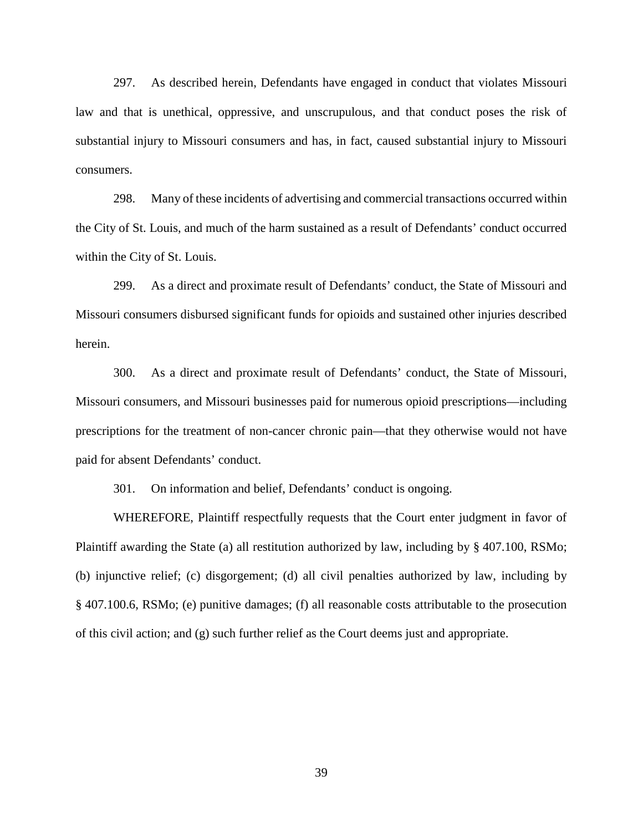297. As described herein, Defendants have engaged in conduct that violates Missouri law and that is unethical, oppressive, and unscrupulous, and that conduct poses the risk of substantial injury to Missouri consumers and has, in fact, caused substantial injury to Missouri consumers.

298. Many of these incidents of advertising and commercial transactions occurred within the City of St. Louis, and much of the harm sustained as a result of Defendants' conduct occurred within the City of St. Louis.

299. As a direct and proximate result of Defendants' conduct, the State of Missouri and Missouri consumers disbursed significant funds for opioids and sustained other injuries described herein.

300. As a direct and proximate result of Defendants' conduct, the State of Missouri, Missouri consumers, and Missouri businesses paid for numerous opioid prescriptions—including prescriptions for the treatment of non-cancer chronic pain—that they otherwise would not have paid for absent Defendants' conduct.

301. On information and belief, Defendants' conduct is ongoing.

WHEREFORE, Plaintiff respectfully requests that the Court enter judgment in favor of Plaintiff awarding the State (a) all restitution authorized by law, including by § 407.100, RSMo; (b) injunctive relief; (c) disgorgement; (d) all civil penalties authorized by law, including by § 407.100.6, RSMo; (e) punitive damages; (f) all reasonable costs attributable to the prosecution of this civil action; and (g) such further relief as the Court deems just and appropriate.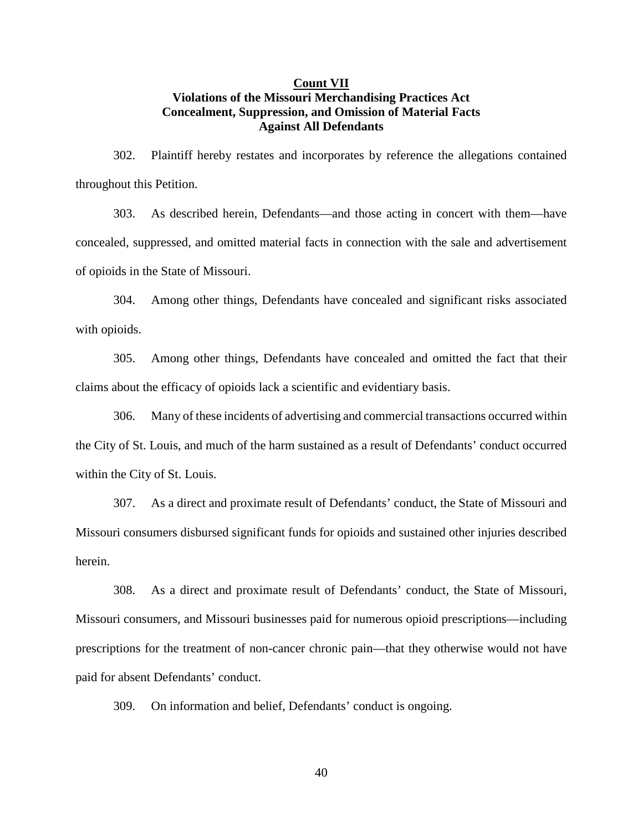## **Count VII Violations of the Missouri Merchandising Practices Act Concealment, Suppression, and Omission of Material Facts Against All Defendants**

302. Plaintiff hereby restates and incorporates by reference the allegations contained throughout this Petition.

303. As described herein, Defendants—and those acting in concert with them—have concealed, suppressed, and omitted material facts in connection with the sale and advertisement of opioids in the State of Missouri.

304. Among other things, Defendants have concealed and significant risks associated with opioids.

305. Among other things, Defendants have concealed and omitted the fact that their claims about the efficacy of opioids lack a scientific and evidentiary basis.

306. Many of these incidents of advertising and commercial transactions occurred within the City of St. Louis, and much of the harm sustained as a result of Defendants' conduct occurred within the City of St. Louis.

307. As a direct and proximate result of Defendants' conduct, the State of Missouri and Missouri consumers disbursed significant funds for opioids and sustained other injuries described herein.

308. As a direct and proximate result of Defendants' conduct, the State of Missouri, Missouri consumers, and Missouri businesses paid for numerous opioid prescriptions—including prescriptions for the treatment of non-cancer chronic pain—that they otherwise would not have paid for absent Defendants' conduct.

309. On information and belief, Defendants' conduct is ongoing.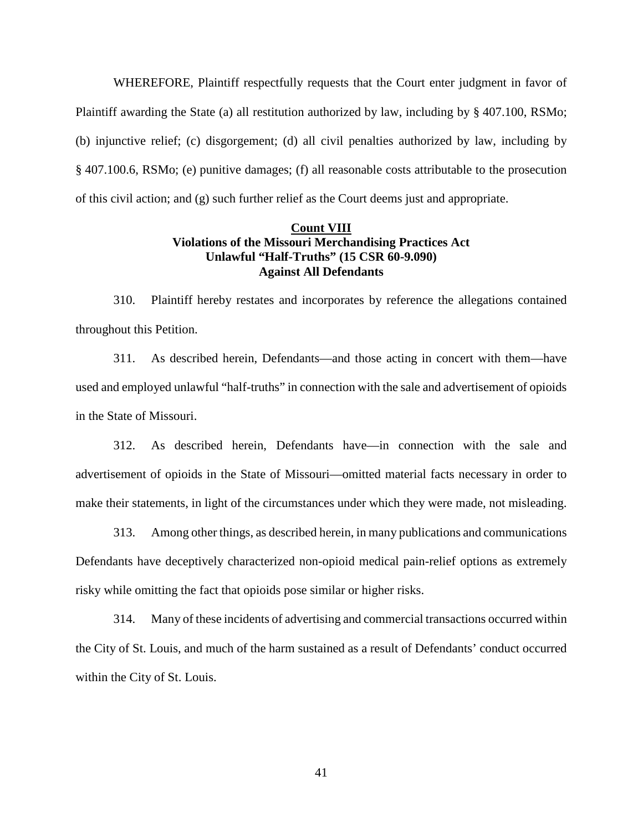WHEREFORE, Plaintiff respectfully requests that the Court enter judgment in favor of Plaintiff awarding the State (a) all restitution authorized by law, including by § 407.100, RSMo; (b) injunctive relief; (c) disgorgement; (d) all civil penalties authorized by law, including by § 407.100.6, RSMo; (e) punitive damages; (f) all reasonable costs attributable to the prosecution of this civil action; and (g) such further relief as the Court deems just and appropriate.

## **Count VIII Violations of the Missouri Merchandising Practices Act Unlawful "Half-Truths" (15 CSR 60-9.090) Against All Defendants**

310. Plaintiff hereby restates and incorporates by reference the allegations contained throughout this Petition.

311. As described herein, Defendants—and those acting in concert with them—have used and employed unlawful "half-truths" in connection with the sale and advertisement of opioids in the State of Missouri.

312. As described herein, Defendants have—in connection with the sale and advertisement of opioids in the State of Missouri—omitted material facts necessary in order to make their statements, in light of the circumstances under which they were made, not misleading.

313. Among other things, as described herein, in many publications and communications Defendants have deceptively characterized non-opioid medical pain-relief options as extremely risky while omitting the fact that opioids pose similar or higher risks.

314. Many of these incidents of advertising and commercial transactions occurred within the City of St. Louis, and much of the harm sustained as a result of Defendants' conduct occurred within the City of St. Louis.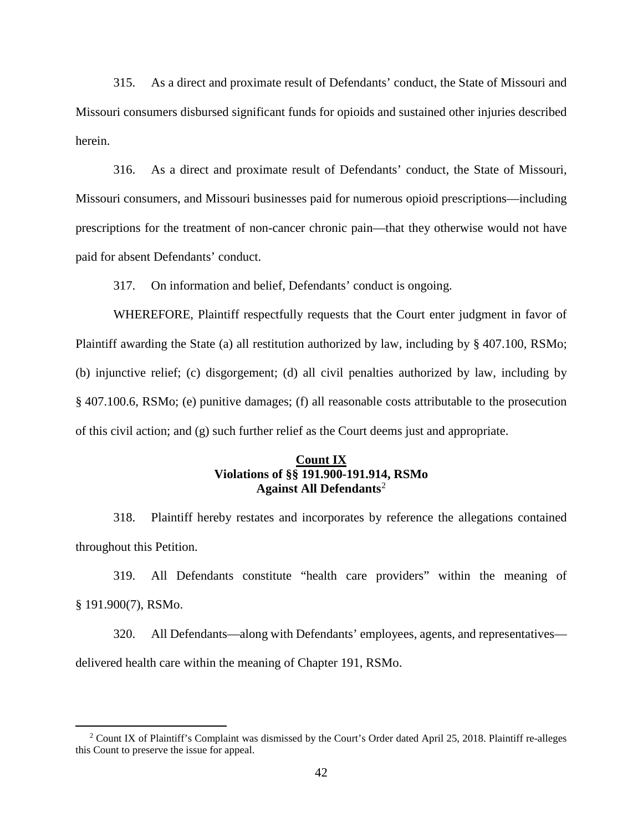315. As a direct and proximate result of Defendants' conduct, the State of Missouri and Missouri consumers disbursed significant funds for opioids and sustained other injuries described herein.

316. As a direct and proximate result of Defendants' conduct, the State of Missouri, Missouri consumers, and Missouri businesses paid for numerous opioid prescriptions—including prescriptions for the treatment of non-cancer chronic pain—that they otherwise would not have paid for absent Defendants' conduct.

317. On information and belief, Defendants' conduct is ongoing.

WHEREFORE, Plaintiff respectfully requests that the Court enter judgment in favor of Plaintiff awarding the State (a) all restitution authorized by law, including by § 407.100, RSMo; (b) injunctive relief; (c) disgorgement; (d) all civil penalties authorized by law, including by § 407.100.6, RSMo; (e) punitive damages; (f) all reasonable costs attributable to the prosecution of this civil action; and (g) such further relief as the Court deems just and appropriate.

## **Count IX Violations of §§ 191.900-191.914, RSMo Against All Defendants**[2](#page-41-0)

318. Plaintiff hereby restates and incorporates by reference the allegations contained throughout this Petition.

319. All Defendants constitute "health care providers" within the meaning of § 191.900(7), RSMo.

320. All Defendants—along with Defendants' employees, agents, and representatives delivered health care within the meaning of Chapter 191, RSMo.

<span id="page-41-0"></span><sup>&</sup>lt;sup>2</sup> Count IX of Plaintiff's Complaint was dismissed by the Court's Order dated April 25, 2018. Plaintiff re-alleges this Count to preserve the issue for appeal.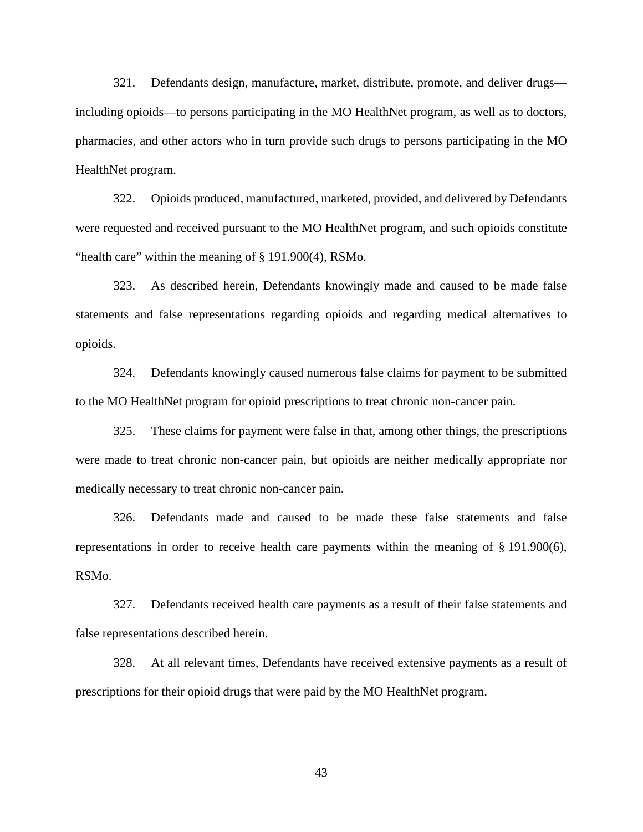321. Defendants design, manufacture, market, distribute, promote, and deliver drugs including opioids—to persons participating in the MO HealthNet program, as well as to doctors, pharmacies, and other actors who in turn provide such drugs to persons participating in the MO HealthNet program.

322. Opioids produced, manufactured, marketed, provided, and delivered by Defendants were requested and received pursuant to the MO HealthNet program, and such opioids constitute "health care" within the meaning of § 191.900(4), RSMo.

323. As described herein, Defendants knowingly made and caused to be made false statements and false representations regarding opioids and regarding medical alternatives to opioids.

324. Defendants knowingly caused numerous false claims for payment to be submitted to the MO HealthNet program for opioid prescriptions to treat chronic non-cancer pain.

325. These claims for payment were false in that, among other things, the prescriptions were made to treat chronic non-cancer pain, but opioids are neither medically appropriate nor medically necessary to treat chronic non-cancer pain.

326. Defendants made and caused to be made these false statements and false representations in order to receive health care payments within the meaning of  $\S$  191.900(6), RSMo.

327. Defendants received health care payments as a result of their false statements and false representations described herein.

328. At all relevant times, Defendants have received extensive payments as a result of prescriptions for their opioid drugs that were paid by the MO HealthNet program.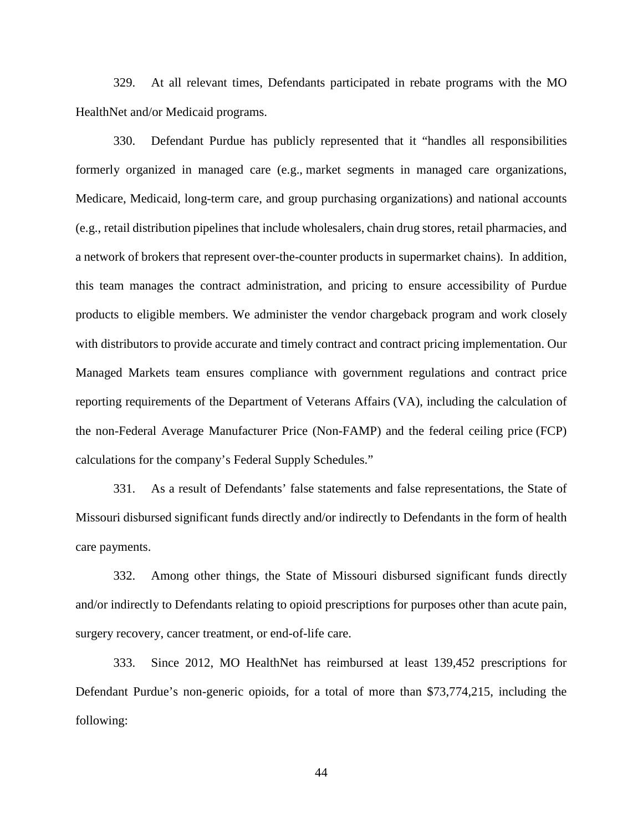329. At all relevant times, Defendants participated in rebate programs with the MO HealthNet and/or Medicaid programs.

330. Defendant Purdue has publicly represented that it "handles all responsibilities formerly organized in managed care (e.g., market segments in managed care organizations, Medicare, Medicaid, long-term care, and group purchasing organizations) and national accounts (e.g., retail distribution pipelines that include wholesalers, chain drug stores, retail pharmacies, and a network of brokers that represent over-the-counter products in supermarket chains). In addition, this team manages the contract administration, and pricing to ensure accessibility of Purdue products to eligible members. We administer the vendor chargeback program and work closely with distributors to provide accurate and timely contract and contract pricing implementation. Our Managed Markets team ensures compliance with government regulations and contract price reporting requirements of the Department of Veterans Affairs (VA), including the calculation of the non-Federal Average Manufacturer Price (Non-FAMP) and the federal ceiling price (FCP) calculations for the company's Federal Supply Schedules."

331. As a result of Defendants' false statements and false representations, the State of Missouri disbursed significant funds directly and/or indirectly to Defendants in the form of health care payments.

332. Among other things, the State of Missouri disbursed significant funds directly and/or indirectly to Defendants relating to opioid prescriptions for purposes other than acute pain, surgery recovery, cancer treatment, or end-of-life care.

333. Since 2012, MO HealthNet has reimbursed at least 139,452 prescriptions for Defendant Purdue's non-generic opioids, for a total of more than \$73,774,215, including the following: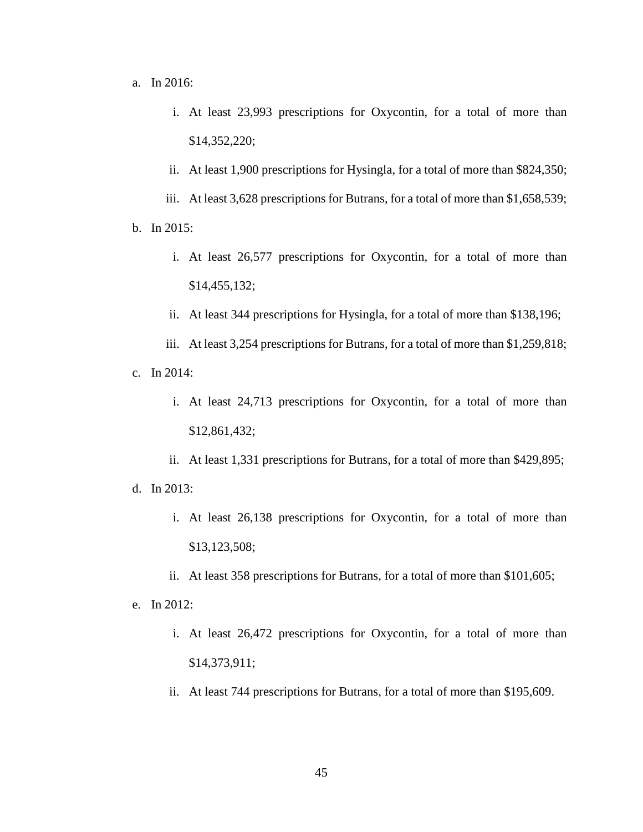a. In 2016:

- i. At least 23,993 prescriptions for Oxycontin, for a total of more than \$14,352,220;
- ii. At least 1,900 prescriptions for Hysingla, for a total of more than \$824,350;

iii. At least 3,628 prescriptions for Butrans, for a total of more than \$1,658,539; b. In 2015:

- i. At least 26,577 prescriptions for Oxycontin, for a total of more than \$14,455,132;
- ii. At least 344 prescriptions for Hysingla, for a total of more than \$138,196;
- iii. At least 3,254 prescriptions for Butrans, for a total of more than \$1,259,818; c. In 2014:
	- i. At least 24,713 prescriptions for Oxycontin, for a total of more than \$12,861,432;
- ii. At least 1,331 prescriptions for Butrans, for a total of more than \$429,895; d. In 2013:
	- i. At least 26,138 prescriptions for Oxycontin, for a total of more than \$13,123,508;
	- ii. At least 358 prescriptions for Butrans, for a total of more than \$101,605;
- e. In 2012:
	- i. At least 26,472 prescriptions for Oxycontin, for a total of more than \$14,373,911;
	- ii. At least 744 prescriptions for Butrans, for a total of more than \$195,609.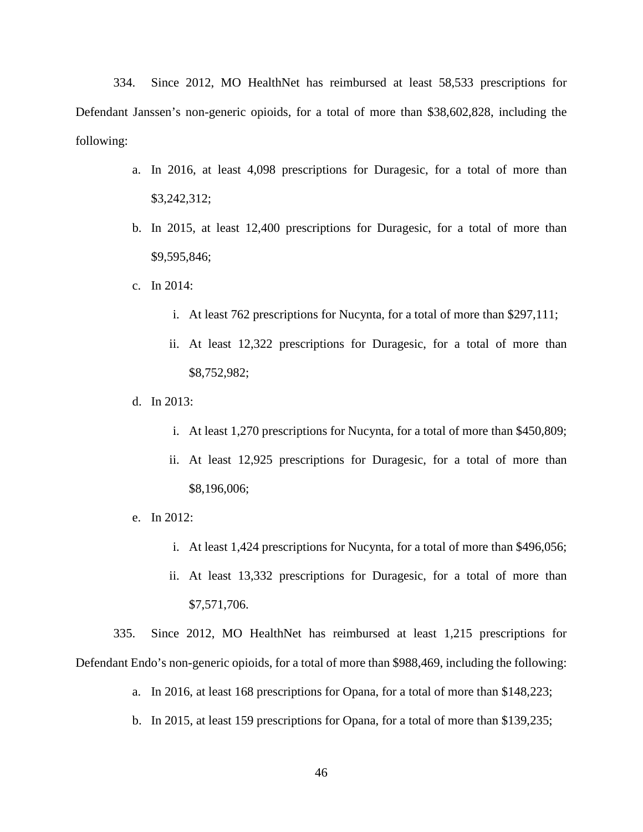334. Since 2012, MO HealthNet has reimbursed at least 58,533 prescriptions for Defendant Janssen's non-generic opioids, for a total of more than \$38,602,828, including the following:

- a. In 2016, at least 4,098 prescriptions for Duragesic, for a total of more than \$3,242,312;
- b. In 2015, at least 12,400 prescriptions for Duragesic, for a total of more than \$9,595,846;
- c. In 2014:
	- i. At least 762 prescriptions for Nucynta, for a total of more than \$297,111;
	- ii. At least 12,322 prescriptions for Duragesic, for a total of more than \$8,752,982;
- d. In 2013:
	- i. At least 1,270 prescriptions for Nucynta, for a total of more than \$450,809;
	- ii. At least 12,925 prescriptions for Duragesic, for a total of more than \$8,196,006;
- e. In 2012:
	- i. At least 1,424 prescriptions for Nucynta, for a total of more than \$496,056;
	- ii. At least 13,332 prescriptions for Duragesic, for a total of more than \$7,571,706.

335. Since 2012, MO HealthNet has reimbursed at least 1,215 prescriptions for Defendant Endo's non-generic opioids, for a total of more than \$988,469, including the following:

- a. In 2016, at least 168 prescriptions for Opana, for a total of more than \$148,223;
- b. In 2015, at least 159 prescriptions for Opana, for a total of more than \$139,235;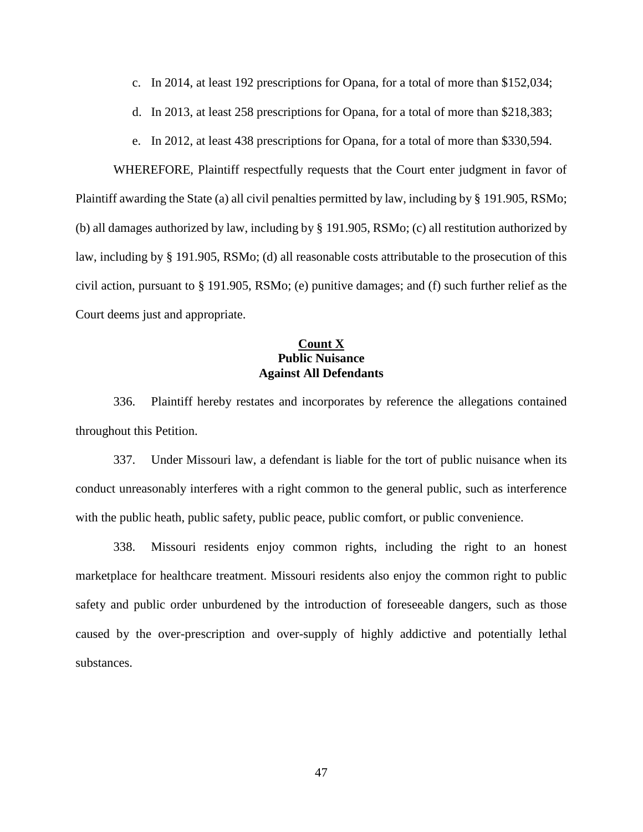- c. In 2014, at least 192 prescriptions for Opana, for a total of more than \$152,034;
- d. In 2013, at least 258 prescriptions for Opana, for a total of more than \$218,383;
- e. In 2012, at least 438 prescriptions for Opana, for a total of more than \$330,594.

WHEREFORE, Plaintiff respectfully requests that the Court enter judgment in favor of Plaintiff awarding the State (a) all civil penalties permitted by law, including by § 191.905, RSMo; (b) all damages authorized by law, including by § 191.905, RSMo; (c) all restitution authorized by law, including by § 191.905, RSMo; (d) all reasonable costs attributable to the prosecution of this civil action, pursuant to § 191.905, RSMo; (e) punitive damages; and (f) such further relief as the Court deems just and appropriate.

## **Count X Public Nuisance Against All Defendants**

336. Plaintiff hereby restates and incorporates by reference the allegations contained throughout this Petition.

337. Under Missouri law, a defendant is liable for the tort of public nuisance when its conduct unreasonably interferes with a right common to the general public, such as interference with the public heath, public safety, public peace, public comfort, or public convenience.

338. Missouri residents enjoy common rights, including the right to an honest marketplace for healthcare treatment. Missouri residents also enjoy the common right to public safety and public order unburdened by the introduction of foreseeable dangers, such as those caused by the over-prescription and over-supply of highly addictive and potentially lethal substances.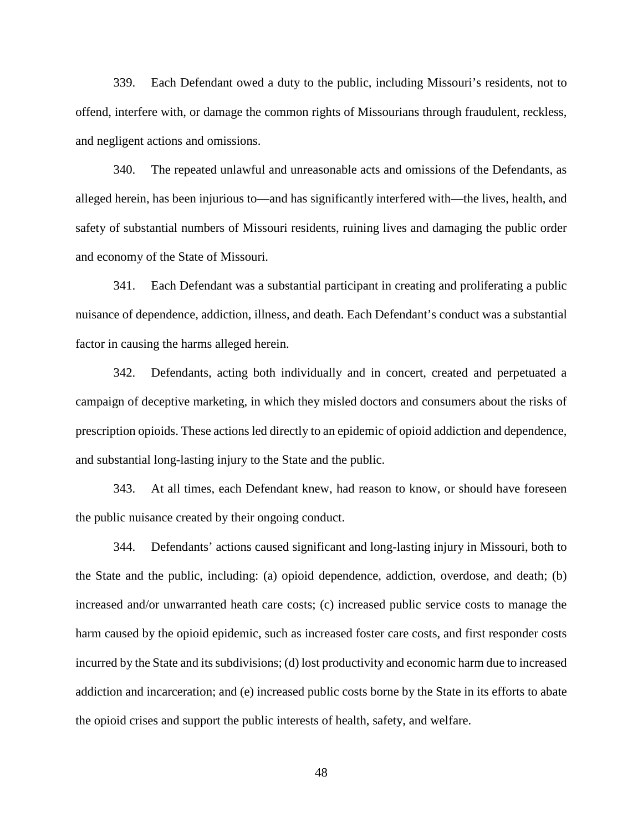339. Each Defendant owed a duty to the public, including Missouri's residents, not to offend, interfere with, or damage the common rights of Missourians through fraudulent, reckless, and negligent actions and omissions.

340. The repeated unlawful and unreasonable acts and omissions of the Defendants, as alleged herein, has been injurious to—and has significantly interfered with—the lives, health, and safety of substantial numbers of Missouri residents, ruining lives and damaging the public order and economy of the State of Missouri.

341. Each Defendant was a substantial participant in creating and proliferating a public nuisance of dependence, addiction, illness, and death. Each Defendant's conduct was a substantial factor in causing the harms alleged herein.

342. Defendants, acting both individually and in concert, created and perpetuated a campaign of deceptive marketing, in which they misled doctors and consumers about the risks of prescription opioids. These actions led directly to an epidemic of opioid addiction and dependence, and substantial long-lasting injury to the State and the public.

343. At all times, each Defendant knew, had reason to know, or should have foreseen the public nuisance created by their ongoing conduct.

344. Defendants' actions caused significant and long-lasting injury in Missouri, both to the State and the public, including: (a) opioid dependence, addiction, overdose, and death; (b) increased and/or unwarranted heath care costs; (c) increased public service costs to manage the harm caused by the opioid epidemic, such as increased foster care costs, and first responder costs incurred by the State and its subdivisions; (d) lost productivity and economic harm due to increased addiction and incarceration; and (e) increased public costs borne by the State in its efforts to abate the opioid crises and support the public interests of health, safety, and welfare.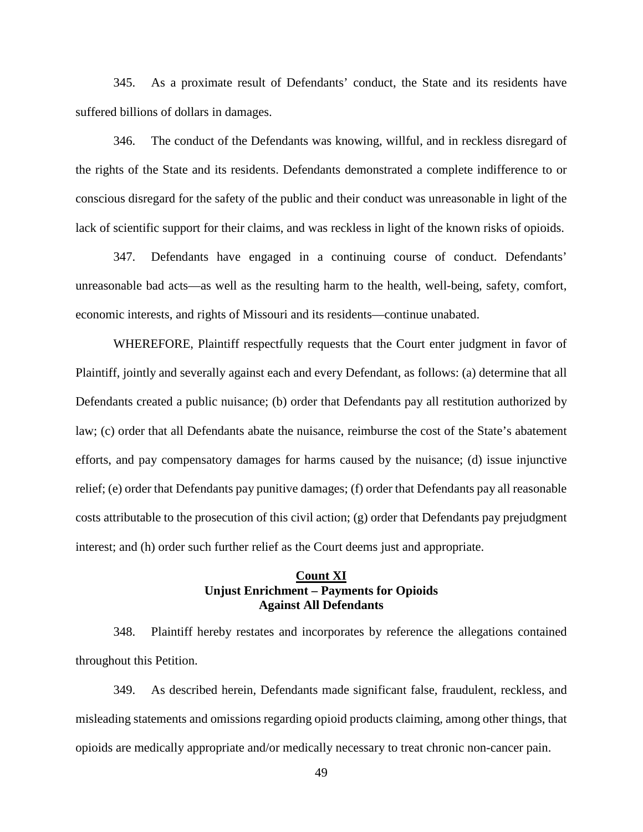345. As a proximate result of Defendants' conduct, the State and its residents have suffered billions of dollars in damages.

346. The conduct of the Defendants was knowing, willful, and in reckless disregard of the rights of the State and its residents. Defendants demonstrated a complete indifference to or conscious disregard for the safety of the public and their conduct was unreasonable in light of the lack of scientific support for their claims, and was reckless in light of the known risks of opioids.

347. Defendants have engaged in a continuing course of conduct. Defendants' unreasonable bad acts—as well as the resulting harm to the health, well-being, safety, comfort, economic interests, and rights of Missouri and its residents—continue unabated.

WHEREFORE, Plaintiff respectfully requests that the Court enter judgment in favor of Plaintiff, jointly and severally against each and every Defendant, as follows: (a) determine that all Defendants created a public nuisance; (b) order that Defendants pay all restitution authorized by law; (c) order that all Defendants abate the nuisance, reimburse the cost of the State's abatement efforts, and pay compensatory damages for harms caused by the nuisance; (d) issue injunctive relief; (e) order that Defendants pay punitive damages; (f) order that Defendants pay all reasonable costs attributable to the prosecution of this civil action; (g) order that Defendants pay prejudgment interest; and (h) order such further relief as the Court deems just and appropriate.

### **Count XI Unjust Enrichment – Payments for Opioids Against All Defendants**

348. Plaintiff hereby restates and incorporates by reference the allegations contained throughout this Petition.

349. As described herein, Defendants made significant false, fraudulent, reckless, and misleading statements and omissions regarding opioid products claiming, among other things, that opioids are medically appropriate and/or medically necessary to treat chronic non-cancer pain.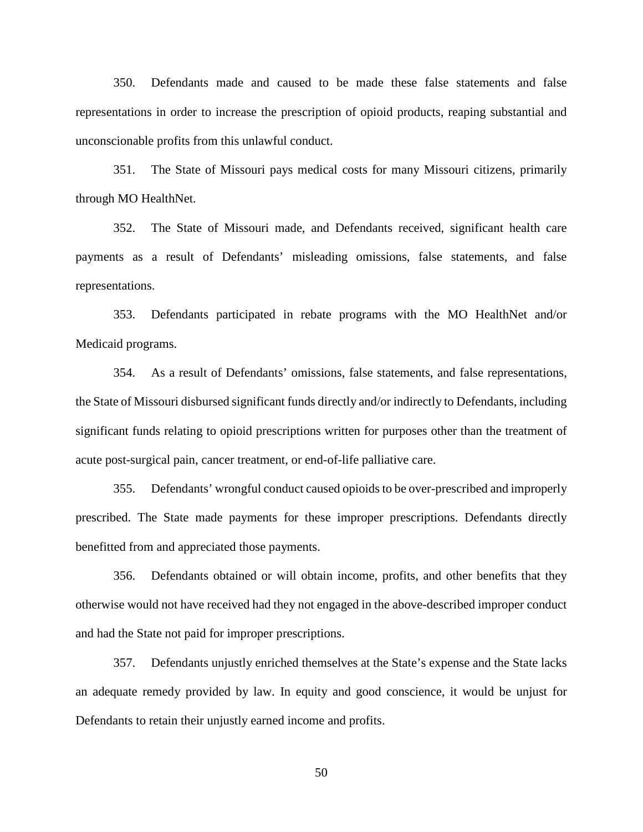350. Defendants made and caused to be made these false statements and false representations in order to increase the prescription of opioid products, reaping substantial and unconscionable profits from this unlawful conduct.

351. The State of Missouri pays medical costs for many Missouri citizens, primarily through MO HealthNet.

352. The State of Missouri made, and Defendants received, significant health care payments as a result of Defendants' misleading omissions, false statements, and false representations.

353. Defendants participated in rebate programs with the MO HealthNet and/or Medicaid programs.

354. As a result of Defendants' omissions, false statements, and false representations, the State of Missouri disbursed significant funds directly and/or indirectly to Defendants, including significant funds relating to opioid prescriptions written for purposes other than the treatment of acute post-surgical pain, cancer treatment, or end-of-life palliative care.

355. Defendants' wrongful conduct caused opioids to be over-prescribed and improperly prescribed. The State made payments for these improper prescriptions. Defendants directly benefitted from and appreciated those payments.

356. Defendants obtained or will obtain income, profits, and other benefits that they otherwise would not have received had they not engaged in the above-described improper conduct and had the State not paid for improper prescriptions.

357. Defendants unjustly enriched themselves at the State's expense and the State lacks an adequate remedy provided by law. In equity and good conscience, it would be unjust for Defendants to retain their unjustly earned income and profits.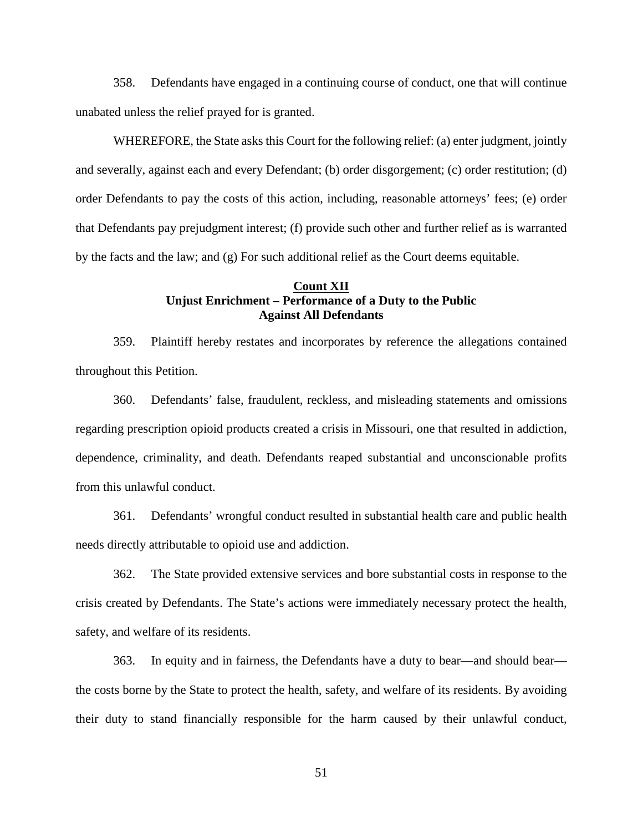358. Defendants have engaged in a continuing course of conduct, one that will continue unabated unless the relief prayed for is granted.

WHEREFORE, the State asks this Court for the following relief: (a) enter judgment, jointly and severally, against each and every Defendant; (b) order disgorgement; (c) order restitution; (d) order Defendants to pay the costs of this action, including, reasonable attorneys' fees; (e) order that Defendants pay prejudgment interest; (f) provide such other and further relief as is warranted by the facts and the law; and (g) For such additional relief as the Court deems equitable.

## **Count XII Unjust Enrichment – Performance of a Duty to the Public Against All Defendants**

359. Plaintiff hereby restates and incorporates by reference the allegations contained throughout this Petition.

360. Defendants' false, fraudulent, reckless, and misleading statements and omissions regarding prescription opioid products created a crisis in Missouri, one that resulted in addiction, dependence, criminality, and death. Defendants reaped substantial and unconscionable profits from this unlawful conduct.

361. Defendants' wrongful conduct resulted in substantial health care and public health needs directly attributable to opioid use and addiction.

362. The State provided extensive services and bore substantial costs in response to the crisis created by Defendants. The State's actions were immediately necessary protect the health, safety, and welfare of its residents.

363. In equity and in fairness, the Defendants have a duty to bear—and should bear the costs borne by the State to protect the health, safety, and welfare of its residents. By avoiding their duty to stand financially responsible for the harm caused by their unlawful conduct,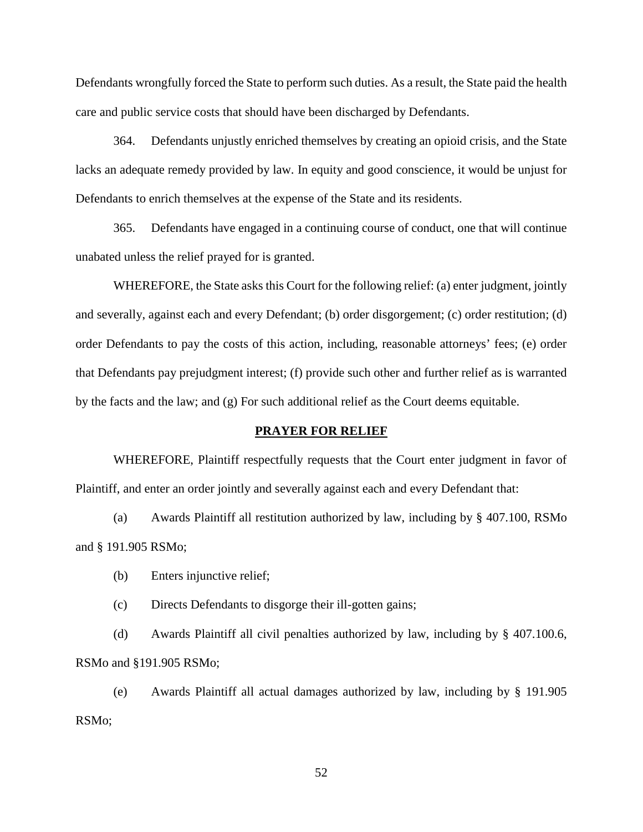Defendants wrongfully forced the State to perform such duties. As a result, the State paid the health care and public service costs that should have been discharged by Defendants.

364. Defendants unjustly enriched themselves by creating an opioid crisis, and the State lacks an adequate remedy provided by law. In equity and good conscience, it would be unjust for Defendants to enrich themselves at the expense of the State and its residents.

365. Defendants have engaged in a continuing course of conduct, one that will continue unabated unless the relief prayed for is granted.

WHEREFORE, the State asks this Court for the following relief: (a) enter judgment, jointly and severally, against each and every Defendant; (b) order disgorgement; (c) order restitution; (d) order Defendants to pay the costs of this action, including, reasonable attorneys' fees; (e) order that Defendants pay prejudgment interest; (f) provide such other and further relief as is warranted by the facts and the law; and (g) For such additional relief as the Court deems equitable.

#### **PRAYER FOR RELIEF**

WHEREFORE, Plaintiff respectfully requests that the Court enter judgment in favor of Plaintiff, and enter an order jointly and severally against each and every Defendant that:

(a) Awards Plaintiff all restitution authorized by law, including by § 407.100, RSMo and § 191.905 RSMo;

- (b) Enters injunctive relief;
- (c) Directs Defendants to disgorge their ill-gotten gains;

(d) Awards Plaintiff all civil penalties authorized by law, including by § 407.100.6, RSMo and §191.905 RSMo;

(e) Awards Plaintiff all actual damages authorized by law, including by § 191.905 RSMo;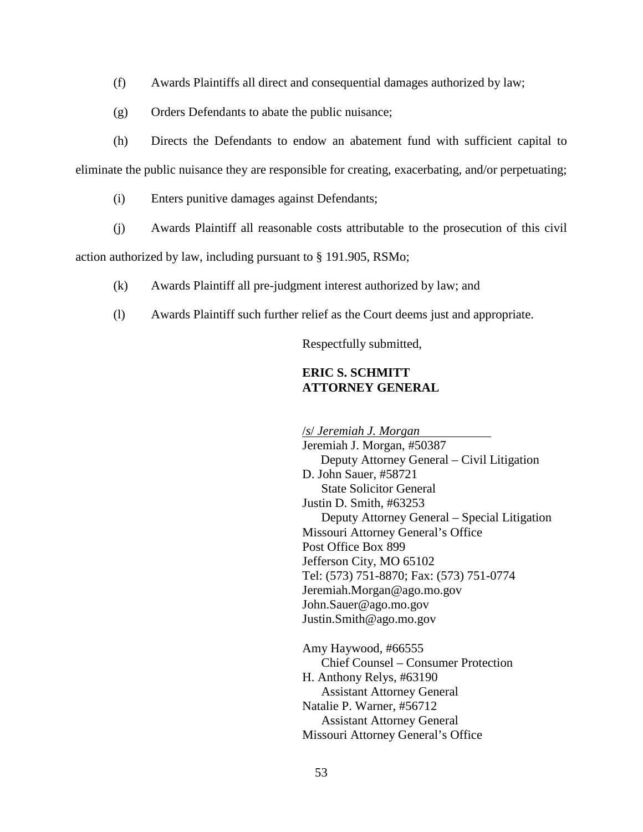- (f) Awards Plaintiffs all direct and consequential damages authorized by law;
- (g) Orders Defendants to abate the public nuisance;

(h) Directs the Defendants to endow an abatement fund with sufficient capital to eliminate the public nuisance they are responsible for creating, exacerbating, and/or perpetuating;

- (i) Enters punitive damages against Defendants;
- (j) Awards Plaintiff all reasonable costs attributable to the prosecution of this civil

action authorized by law, including pursuant to § 191.905, RSMo;

- (k) Awards Plaintiff all pre-judgment interest authorized by law; and
- (l) Awards Plaintiff such further relief as the Court deems just and appropriate.

Respectfully submitted,

## **ERIC S. SCHMITT ATTORNEY GENERAL**

/*s*/ *Jeremiah J. Morgan* Jeremiah J. Morgan, #50387 Deputy Attorney General – Civil Litigation D. John Sauer, #58721 State Solicitor General Justin D. Smith, #63253 Deputy Attorney General – Special Litigation Missouri Attorney General's Office Post Office Box 899 Jefferson City, MO 65102 Tel: (573) 751-8870; Fax: (573) 751-0774 Jeremiah.Morgan@ago.mo.gov John.Sauer@ago.mo.gov Justin.Smith@ago.mo.gov

Amy Haywood, #66555 Chief Counsel – Consumer Protection H. Anthony Relys, #63190 Assistant Attorney General Natalie P. Warner, #56712 Assistant Attorney General Missouri Attorney General's Office